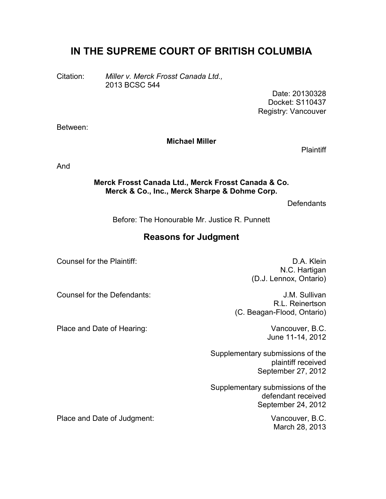# **IN THE SUPREME COURT OF BRITISH COLUMBIA**

Citation: *Miller v. Merck Frosst Canada Ltd.,* 2013 BCSC 544

> Date: 20130328 Docket: S110437 Registry: Vancouver

Between:

#### **Michael Miller**

**Plaintiff** 

And

#### **Merck Frosst Canada Ltd., Merck Frosst Canada & Co. Merck & Co., Inc., Merck Sharpe & Dohme Corp.**

**Defendants** 

Before: The Honourable Mr. Justice R. Punnett

### **Reasons for Judgment**

Counsel for the Plaintiff: Counsel for the Plaintiff:

N.C. Hartigan (D.J. Lennox, Ontario)

Counsel for the Defendants: J.M. Sullivan

Place and Date of Hearing: Vancouver, B.C.

June 11-14, 2012

(C. Beagan-Flood, Ontario)

R.L. Reinertson

Supplementary submissions of the plaintiff received September 27, 2012

Supplementary submissions of the defendant received September 24, 2012

March 28, 2013

Place and Date of Judgment: Vancouver, B.C.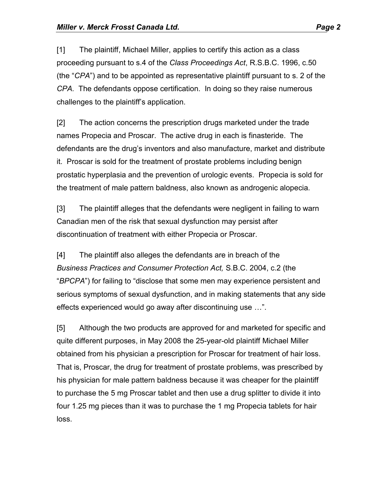[1] The plaintiff, Michael Miller, applies to certify this action as a class proceeding pursuant to s.4 of the *Class Proceedings Act*, R.S.B.C. 1996, c.50 (the "*CPA*") and to be appointed as representative plaintiff pursuant to s. 2 of the *CPA.* The defendants oppose certification. In doing so they raise numerous challenges to the plaintiff's application.

[2] The action concerns the prescription drugs marketed under the trade names Propecia and Proscar. The active drug in each is finasteride. The defendants are the drug's inventors and also manufacture, market and distribute it. Proscar is sold for the treatment of prostate problems including benign prostatic hyperplasia and the prevention of urologic events. Propecia is sold for the treatment of male pattern baldness, also known as androgenic alopecia.

[3] The plaintiff alleges that the defendants were negligent in failing to warn Canadian men of the risk that sexual dysfunction may persist after discontinuation of treatment with either Propecia or Proscar.

[4] The plaintiff also alleges the defendants are in breach of the *Business Practices and Consumer Protection Act,* S.B.C. 2004, c.2 (the "*BPCPA*") for failing to "disclose that some men may experience persistent and serious symptoms of sexual dysfunction, and in making statements that any side effects experienced would go away after discontinuing use …".

[5] Although the two products are approved for and marketed for specific and quite different purposes, in May 2008 the 25-year-old plaintiff Michael Miller obtained from his physician a prescription for Proscar for treatment of hair loss. That is, Proscar, the drug for treatment of prostate problems, was prescribed by his physician for male pattern baldness because it was cheaper for the plaintiff to purchase the 5 mg Proscar tablet and then use a drug splitter to divide it into four 1.25 mg pieces than it was to purchase the 1 mg Propecia tablets for hair loss.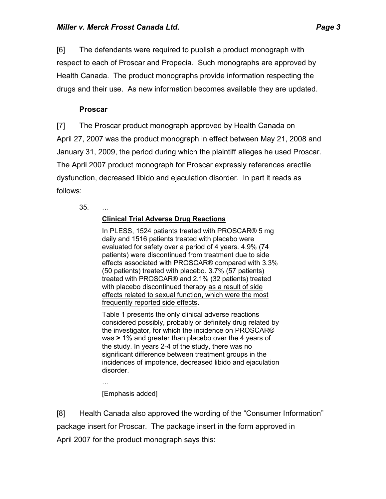[6] The defendants were required to publish a product monograph with respect to each of Proscar and Propecia. Such monographs are approved by Health Canada. The product monographs provide information respecting the drugs and their use. As new information becomes available they are updated.

### **Proscar**

[7] The Proscar product monograph approved by Health Canada on April 27, 2007 was the product monograph in effect between May 21, 2008 and January 31, 2009, the period during which the plaintiff alleges he used Proscar. The April 2007 product monograph for Proscar expressly references erectile dysfunction, decreased libido and ejaculation disorder. In part it reads as follows:

35. …

#### **Clinical Trial Adverse Drug Reactions**

In PLESS, 1524 patients treated with PROSCAR® 5 mg daily and 1516 patients treated with placebo were evaluated for safety over a period of 4 years. 4.9% (74 patients) were discontinued from treatment due to side effects associated with PROSCAR® compared with 3.3% (50 patients) treated with placebo. 3.7% (57 patients) treated with PROSCAR® and 2.1% (32 patients) treated with placebo discontinued therapy as a result of side effects related to sexual function, which were the most frequently reported side effects.

Table 1 presents the only clinical adverse reactions considered possibly, probably or definitely drug related by the investigator, for which the incidence on PROSCAR® was **>** 1% and greater than placebo over the 4 years of the study. In years 2-4 of the study, there was no significant difference between treatment groups in the incidences of impotence, decreased libido and ejaculation disorder.

… [Emphasis added]

[8] Health Canada also approved the wording of the "Consumer Information" package insert for Proscar. The package insert in the form approved in April 2007 for the product monograph says this: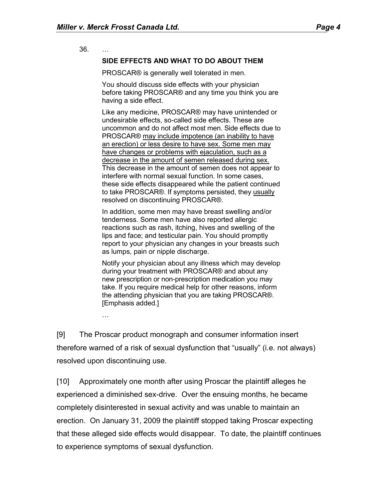36. …

#### **SIDE EFFECTS AND WHAT TO DO ABOUT THEM**

PROSCAR® is generally well tolerated in men.

You should discuss side effects with your physician before taking PROSCAR® and any time you think you are having a side effect.

Like any medicine, PROSCAR® may have unintended or undesirable effects, so-called side effects. These are uncommon and do not affect most men. Side effects due to PROSCAR® may include impotence (an inability to have an erection) or less desire to have sex. Some men may have changes or problems with ejaculation, such as a decrease in the amount of semen released during sex. This decrease in the amount of semen does not appear to interfere with normal sexual function. In some cases, these side effects disappeared while the patient continued to take PROSCAR®. If symptoms persisted, they usually resolved on discontinuing PROSCAR®.

In addition, some men may have breast swelling and/or tenderness. Some men have also reported allergic reactions such as rash, itching, hives and swelling of the lips and face; and testicular pain. You should promptly report to your physician any changes in your breasts such as lumps, pain or nipple discharge.

Notify your physician about any illness which may develop during your treatment with PROSCAR® and about any new prescription or non-prescription medication you may take. If you require medical help for other reasons, inform the attending physician that you are taking PROSCAR®. [Emphasis added.]

…

[9] The Proscar product monograph and consumer information insert therefore warned of a risk of sexual dysfunction that "usually" (i.e. not always) resolved upon discontinuing use.

[10] Approximately one month after using Proscar the plaintiff alleges he experienced a diminished sex-drive. Over the ensuing months, he became completely disinterested in sexual activity and was unable to maintain an erection. On January 31, 2009 the plaintiff stopped taking Proscar expecting that these alleged side effects would disappear. To date, the plaintiff continues to experience symptoms of sexual dysfunction.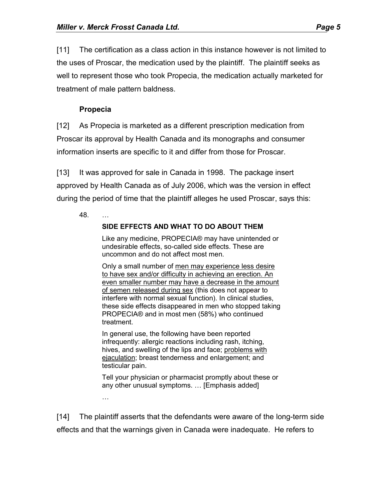[11] The certification as a class action in this instance however is not limited to the uses of Proscar, the medication used by the plaintiff. The plaintiff seeks as well to represent those who took Propecia, the medication actually marketed for treatment of male pattern baldness.

# **Propecia**

[12] As Propecia is marketed as a different prescription medication from Proscar its approval by Health Canada and its monographs and consumer information inserts are specific to it and differ from those for Proscar.

[13] It was approved for sale in Canada in 1998. The package insert approved by Health Canada as of July 2006, which was the version in effect during the period of time that the plaintiff alleges he used Proscar, says this:

48. …

# **SIDE EFFECTS AND WHAT TO DO ABOUT THEM**

Like any medicine, PROPECIA® may have unintended or undesirable effects, so-called side effects. These are uncommon and do not affect most men.

Only a small number of men may experience less desire to have sex and/or difficulty in achieving an erection. An even smaller number may have a decrease in the amount of semen released during sex (this does not appear to interfere with normal sexual function). In clinical studies, these side effects disappeared in men who stopped taking PROPECIA® and in most men (58%) who continued treatment.

In general use, the following have been reported infrequently: allergic reactions including rash, itching, hives, and swelling of the lips and face; problems with ejaculation; breast tenderness and enlargement; and testicular pain.

Tell your physician or pharmacist promptly about these or any other unusual symptoms. … [Emphasis added]

…

[14] The plaintiff asserts that the defendants were aware of the long-term side effects and that the warnings given in Canada were inadequate. He refers to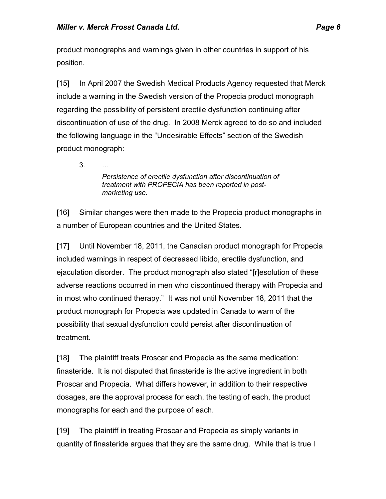product monographs and warnings given in other countries in support of his position.

[15] In April 2007 the Swedish Medical Products Agency requested that Merck include a warning in the Swedish version of the Propecia product monograph regarding the possibility of persistent erectile dysfunction continuing after discontinuation of use of the drug. In 2008 Merck agreed to do so and included the following language in the "Undesirable Effects" section of the Swedish product monograph:

3. …

*Persistence of erectile dysfunction after discontinuation of treatment with PROPECIA has been reported in postmarketing use.*

[16] Similar changes were then made to the Propecia product monographs in a number of European countries and the United States.

[17] Until November 18, 2011, the Canadian product monograph for Propecia included warnings in respect of decreased libido, erectile dysfunction, and ejaculation disorder. The product monograph also stated "[r]esolution of these adverse reactions occurred in men who discontinued therapy with Propecia and in most who continued therapy." It was not until November 18, 2011 that the product monograph for Propecia was updated in Canada to warn of the possibility that sexual dysfunction could persist after discontinuation of treatment.

[18] The plaintiff treats Proscar and Propecia as the same medication: finasteride. It is not disputed that finasteride is the active ingredient in both Proscar and Propecia. What differs however, in addition to their respective dosages, are the approval process for each, the testing of each, the product monographs for each and the purpose of each.

[19] The plaintiff in treating Proscar and Propecia as simply variants in quantity of finasteride argues that they are the same drug. While that is true I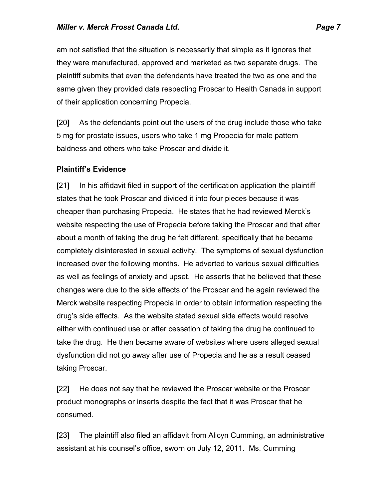am not satisfied that the situation is necessarily that simple as it ignores that they were manufactured, approved and marketed as two separate drugs. The plaintiff submits that even the defendants have treated the two as one and the same given they provided data respecting Proscar to Health Canada in support of their application concerning Propecia.

[20] As the defendants point out the users of the drug include those who take 5 mg for prostate issues, users who take 1 mg Propecia for male pattern baldness and others who take Proscar and divide it.

#### **Plaintiff's Evidence**

[21] In his affidavit filed in support of the certification application the plaintiff states that he took Proscar and divided it into four pieces because it was cheaper than purchasing Propecia. He states that he had reviewed Merck's website respecting the use of Propecia before taking the Proscar and that after about a month of taking the drug he felt different, specifically that he became completely disinterested in sexual activity. The symptoms of sexual dysfunction increased over the following months. He adverted to various sexual difficulties as well as feelings of anxiety and upset. He asserts that he believed that these changes were due to the side effects of the Proscar and he again reviewed the Merck website respecting Propecia in order to obtain information respecting the drug's side effects. As the website stated sexual side effects would resolve either with continued use or after cessation of taking the drug he continued to take the drug. He then became aware of websites where users alleged sexual dysfunction did not go away after use of Propecia and he as a result ceased taking Proscar.

[22] He does not say that he reviewed the Proscar website or the Proscar product monographs or inserts despite the fact that it was Proscar that he consumed.

[23] The plaintiff also filed an affidavit from Alicyn Cumming, an administrative assistant at his counsel's office, sworn on July 12, 2011. Ms. Cumming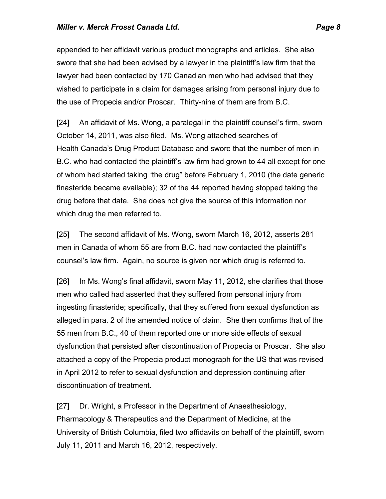appended to her affidavit various product monographs and articles. She also swore that she had been advised by a lawyer in the plaintiff's law firm that the lawyer had been contacted by 170 Canadian men who had advised that they wished to participate in a claim for damages arising from personal injury due to the use of Propecia and/or Proscar. Thirty-nine of them are from B.C.

[24] An affidavit of Ms. Wong, a paralegal in the plaintiff counsel's firm, sworn October 14, 2011, was also filed. Ms. Wong attached searches of Health Canada's Drug Product Database and swore that the number of men in B.C. who had contacted the plaintiff's law firm had grown to 44 all except for one of whom had started taking "the drug" before February 1, 2010 (the date generic finasteride became available); 32 of the 44 reported having stopped taking the drug before that date. She does not give the source of this information nor which drug the men referred to.

[25] The second affidavit of Ms. Wong, sworn March 16, 2012, asserts 281 men in Canada of whom 55 are from B.C. had now contacted the plaintiff's counsel's law firm. Again, no source is given nor which drug is referred to.

[26] In Ms. Wong's final affidavit, sworn May 11, 2012, she clarifies that those men who called had asserted that they suffered from personal injury from ingesting finasteride; specifically, that they suffered from sexual dysfunction as alleged in para. 2 of the amended notice of claim. She then confirms that of the 55 men from B.C., 40 of them reported one or more side effects of sexual dysfunction that persisted after discontinuation of Propecia or Proscar. She also attached a copy of the Propecia product monograph for the US that was revised in April 2012 to refer to sexual dysfunction and depression continuing after discontinuation of treatment.

[27] Dr. Wright, a Professor in the Department of Anaesthesiology, Pharmacology & Therapeutics and the Department of Medicine, at the University of British Columbia, filed two affidavits on behalf of the plaintiff, sworn July 11, 2011 and March 16, 2012, respectively.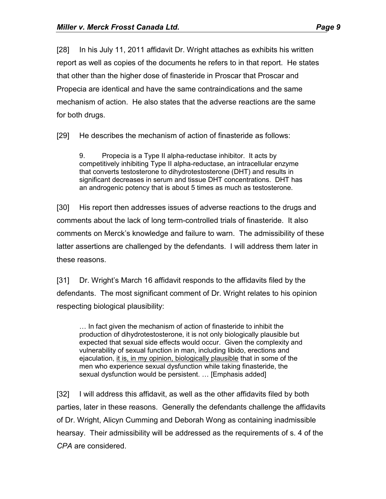[28] In his July 11, 2011 affidavit Dr. Wright attaches as exhibits his written report as well as copies of the documents he refers to in that report. He states that other than the higher dose of finasteride in Proscar that Proscar and Propecia are identical and have the same contraindications and the same mechanism of action. He also states that the adverse reactions are the same for both drugs.

[29] He describes the mechanism of action of finasteride as follows:

9. Propecia is a Type II alpha-reductase inhibitor. It acts by competitively inhibiting Type II alpha-reductase, an intracellular enzyme that converts testosterone to dihydrotestosterone (DHT) and results in significant decreases in serum and tissue DHT concentrations. DHT has an androgenic potency that is about 5 times as much as testosterone.

[30] His report then addresses issues of adverse reactions to the drugs and comments about the lack of long term-controlled trials of finasteride. It also comments on Merck's knowledge and failure to warn. The admissibility of these latter assertions are challenged by the defendants. I will address them later in these reasons.

[31] Dr. Wright's March 16 affidavit responds to the affidavits filed by the defendants. The most significant comment of Dr. Wright relates to his opinion respecting biological plausibility:

… In fact given the mechanism of action of finasteride to inhibit the production of dihydrotestosterone, it is not only biologically plausible but expected that sexual side effects would occur. Given the complexity and vulnerability of sexual function in man, including libido, erections and ejaculation, it is, in my opinion, biologically plausible that in some of the men who experience sexual dysfunction while taking finasteride, the sexual dysfunction would be persistent. … [Emphasis added]

[32] I will address this affidavit, as well as the other affidavits filed by both parties, later in these reasons. Generally the defendants challenge the affidavits of Dr. Wright, Alicyn Cumming and Deborah Wong as containing inadmissible hearsay. Their admissibility will be addressed as the requirements of s. 4 of the *CPA* are considered.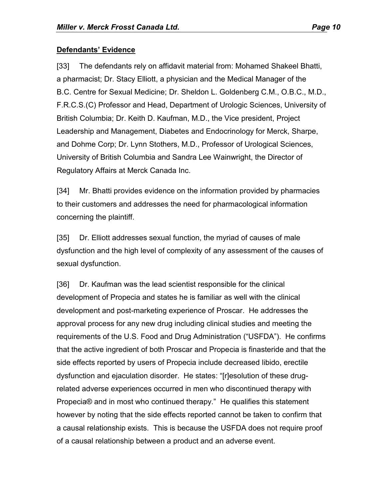#### **Defendants' Evidence**

[33] The defendants rely on affidavit material from: Mohamed Shakeel Bhatti, a pharmacist; Dr. Stacy Elliott, a physician and the Medical Manager of the B.C. Centre for Sexual Medicine; Dr. Sheldon L. Goldenberg C.M., O.B.C., M.D., F.R.C.S.(C) Professor and Head, Department of Urologic Sciences, University of British Columbia; Dr. Keith D. Kaufman, M.D., the Vice president, Project Leadership and Management, Diabetes and Endocrinology for Merck, Sharpe, and Dohme Corp; Dr. Lynn Stothers, M.D., Professor of Urological Sciences, University of British Columbia and Sandra Lee Wainwright, the Director of Regulatory Affairs at Merck Canada Inc.

[34] Mr. Bhatti provides evidence on the information provided by pharmacies to their customers and addresses the need for pharmacological information concerning the plaintiff.

[35] Dr. Elliott addresses sexual function, the myriad of causes of male dysfunction and the high level of complexity of any assessment of the causes of sexual dysfunction.

[36] Dr. Kaufman was the lead scientist responsible for the clinical development of Propecia and states he is familiar as well with the clinical development and post-marketing experience of Proscar. He addresses the approval process for any new drug including clinical studies and meeting the requirements of the U.S. Food and Drug Administration ("USFDA"). He confirms that the active ingredient of both Proscar and Propecia is finasteride and that the side effects reported by users of Propecia include decreased libido, erectile dysfunction and ejaculation disorder. He states: "[r]esolution of these drugrelated adverse experiences occurred in men who discontinued therapy with Propecia® and in most who continued therapy." He qualifies this statement however by noting that the side effects reported cannot be taken to confirm that a causal relationship exists. This is because the USFDA does not require proof of a causal relationship between a product and an adverse event.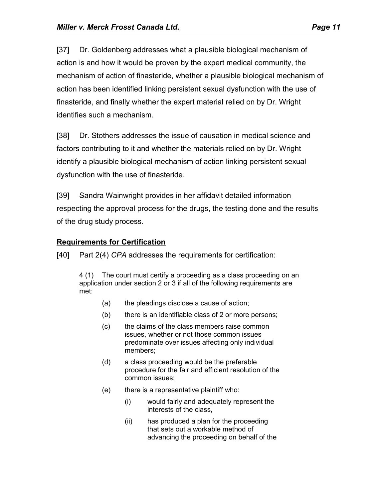[37] Dr. Goldenberg addresses what a plausible biological mechanism of action is and how it would be proven by the expert medical community, the mechanism of action of finasteride, whether a plausible biological mechanism of action has been identified linking persistent sexual dysfunction with the use of finasteride, and finally whether the expert material relied on by Dr. Wright identifies such a mechanism.

[38] Dr. Stothers addresses the issue of causation in medical science and factors contributing to it and whether the materials relied on by Dr. Wright identify a plausible biological mechanism of action linking persistent sexual dysfunction with the use of finasteride.

[39] Sandra Wainwright provides in her affidavit detailed information respecting the approval process for the drugs, the testing done and the results of the drug study process.

# **Requirements for Certification**

[40] Part 2(4) *CPA* addresses the requirements for certification:

4 (1) The court must certify a proceeding as a class proceeding on an application under section 2 or 3 if all of the following requirements are met:

- (a) the pleadings disclose a cause of action;
- (b) there is an identifiable class of 2 or more persons;
- (c) the claims of the class members raise common issues, whether or not those common issues predominate over issues affecting only individual members;
- (d) a class proceeding would be the preferable procedure for the fair and efficient resolution of the common issues;
- (e) there is a representative plaintiff who:
	- (i) would fairly and adequately represent the interests of the class,
	- (ii) has produced a plan for the proceeding that sets out a workable method of advancing the proceeding on behalf of the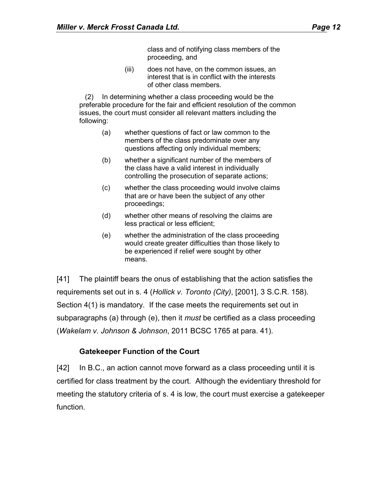class and of notifying class members of the proceeding, and

(iii) does not have, on the common issues, an interest that is in conflict with the interests of other class members.

(2) In determining whether a class proceeding would be the preferable procedure for the fair and efficient resolution of the common issues, the court must consider all relevant matters including the following:

- (a) whether questions of fact or law common to the members of the class predominate over any questions affecting only individual members;
- (b) whether a significant number of the members of the class have a valid interest in individually controlling the prosecution of separate actions;
- (c) whether the class proceeding would involve claims that are or have been the subject of any other proceedings;
- (d) whether other means of resolving the claims are less practical or less efficient;
- (e) whether the administration of the class proceeding would create greater difficulties than those likely to be experienced if relief were sought by other means.

[41] The plaintiff bears the onus of establishing that the action satisfies the requirements set out in s. 4 (*Hollick v. Toronto (City)*, [2001], 3 S.C.R. 158). Section 4(1) is mandatory. If the case meets the requirements set out in subparagraphs (a) through (e), then it *must* be certified as a class proceeding (*Wakelam v. Johnson & Johnson*, 2011 BCSC 1765 at para. 41).

#### **Gatekeeper Function of the Court**

[42] In B.C., an action cannot move forward as a class proceeding until it is certified for class treatment by the court. Although the evidentiary threshold for meeting the statutory criteria of s. 4 is low, the court must exercise a gatekeeper function.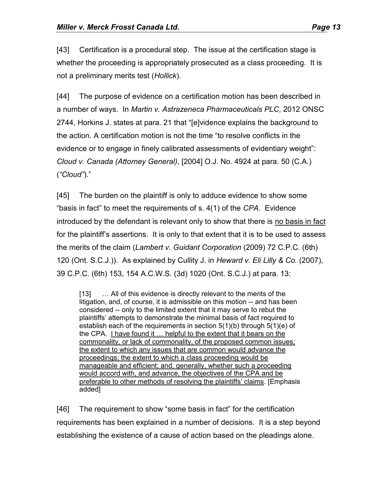[43] Certification is a procedural step. The issue at the certification stage is whether the proceeding is appropriately prosecuted as a class proceeding. It is not a preliminary merits test (*Hollick*).

[44] The purpose of evidence on a certification motion has been described in a number of ways. In *Martin v. Astrazeneca Pharmaceuticals PLC,* 2012 ONSC 2744, Horkins J. states at para. 21 that "[e]vidence explains the background to the action. A certification motion is not the time "to resolve conflicts in the evidence or to engage in finely calibrated assessments of evidentiary weight": *Cloud v. Canada (Attorney General)*, [2004] O.J. No. 4924 at para. 50 (C.A.) (*"Cloud"*)."

[45] The burden on the plaintiff is only to adduce evidence to show some "basis in fact" to meet the requirements of s. 4(1) of the *CPA*. Evidence introduced by the defendant is relevant only to show that there is no basis in fact for the plaintiff's assertions. It is only to that extent that it is to be used to assess the merits of the claim (*Lambert v. Guidant Corporation* (2009) 72 C.P.C. (6th) 120 (Ont. S.C.J.)). As explained by Cullity J. in *Heward v. Eli Lilly & Co.* (2007), 39 C.P.C. (6th) 153, 154 A.C.W.S. (3d) 1020 (Ont. S.C.J.) at para. 13:

[13] ... All of this evidence is directly relevant to the merits of the litigation, and, of course, it is admissible on this motion -- and has been considered -- only to the limited extent that it may serve to rebut the plaintiffs' attempts to demonstrate the minimal basis of fact required to establish each of the requirements in section 5(1)(b) through 5(1)(e) of the CPA. I have found it … helpful to the extent that it bears on the commonality, or lack of commonality, of the proposed common issues; the extent to which any issues that are common would advance the proceedings; the extent to which a class proceeding would be manageable and efficient; and, generally, whether such a proceeding would accord with, and advance, the objectives of the CPA and be preferable to other methods of resolving the plaintiffs' claims. [Emphasis added]

[46] The requirement to show "some basis in fact" for the certification requirements has been explained in a number of decisions. It is a step beyond establishing the existence of a cause of action based on the pleadings alone.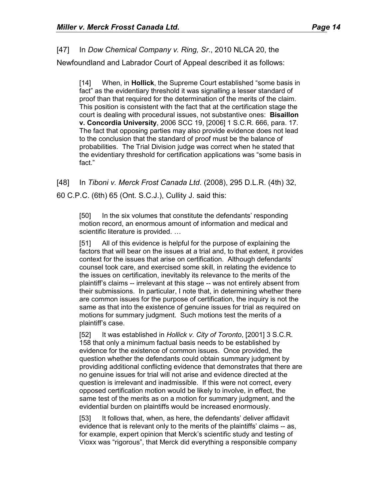[47] In *Dow Chemical Company v. Ring, Sr*., 2010 NLCA 20, the Newfoundland and Labrador Court of Appeal described it as follows:

[14] When, in **Hollick**, the Supreme Court established "some basis in fact" as the evidentiary threshold it was signalling a lesser standard of proof than that required for the determination of the merits of the claim. This position is consistent with the fact that at the certification stage the court is dealing with procedural issues, not substantive ones: **Bisaillon v. Concordia University**, 2006 SCC 19, [2006] 1 S.C.R. 666, para. 17. The fact that opposing parties may also provide evidence does not lead to the conclusion that the standard of proof must be the balance of probabilities. The Trial Division judge was correct when he stated that the evidentiary threshold for certification applications was "some basis in fact."

[48] In *Tiboni v. Merck Frost Canada Ltd*. (2008), 295 D.L.R. (4th) 32,

60 C.P.C. (6th) 65 (Ont. S.C.J.), Cullity J. said this:

[50] In the six volumes that constitute the defendants' responding motion record, an enormous amount of information and medical and scientific literature is provided. …

[51] All of this evidence is helpful for the purpose of explaining the factors that will bear on the issues at a trial and, to that extent, it provides context for the issues that arise on certification. Although defendants' counsel took care, and exercised some skill, in relating the evidence to the issues on certification, inevitably its relevance to the merits of the plaintiff's claims -- irrelevant at this stage -- was not entirely absent from their submissions. In particular, I note that, in determining whether there are common issues for the purpose of certification, the inquiry is not the same as that into the existence of genuine issues for trial as required on motions for summary judgment. Such motions test the merits of a plaintiff's case.

[52] It was established in *Hollick v. City of Toronto*, [2001] 3 S.C.R. 158 that only a minimum factual basis needs to be established by evidence for the existence of common issues. Once provided, the question whether the defendants could obtain summary judgment by providing additional conflicting evidence that demonstrates that there are no genuine issues for trial will not arise and evidence directed at the question is irrelevant and inadmissible. If this were not correct, every opposed certification motion would be likely to involve, in effect, the same test of the merits as on a motion for summary judgment, and the evidential burden on plaintiffs would be increased enormously.

[53] It follows that, when, as here, the defendants' deliver affidavit evidence that is relevant only to the merits of the plaintiffs' claims -- as, for example, expert opinion that Merck's scientific study and testing of Vioxx was "rigorous", that Merck did everything a responsible company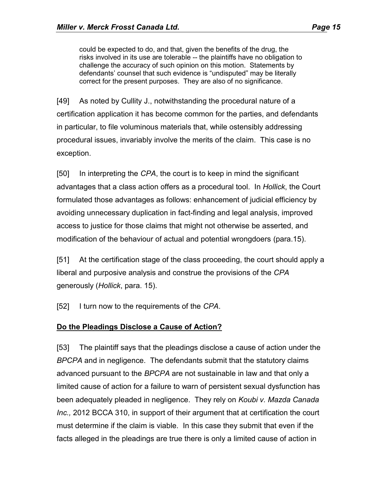could be expected to do, and that, given the benefits of the drug, the risks involved in its use are tolerable -- the plaintiffs have no obligation to challenge the accuracy of such opinion on this motion. Statements by defendants' counsel that such evidence is "undisputed" may be literally correct for the present purposes. They are also of no significance.

[49] As noted by Cullity J., notwithstanding the procedural nature of a certification application it has become common for the parties, and defendants in particular, to file voluminous materials that, while ostensibly addressing procedural issues, invariably involve the merits of the claim. This case is no exception.

[50] In interpreting the *CPA*, the court is to keep in mind the significant advantages that a class action offers as a procedural tool. In *Hollick*, the Court formulated those advantages as follows: enhancement of judicial efficiency by avoiding unnecessary duplication in fact-finding and legal analysis, improved access to justice for those claims that might not otherwise be asserted, and modification of the behaviour of actual and potential wrongdoers (para.15).

[51] At the certification stage of the class proceeding, the court should apply a liberal and purposive analysis and construe the provisions of the *CPA* generously (*Hollick*, para. 15).

[52] I turn now to the requirements of the *CPA*.

# **Do the Pleadings Disclose a Cause of Action?**

[53] The plaintiff says that the pleadings disclose a cause of action under the *BPCPA* and in negligence. The defendants submit that the statutory claims advanced pursuant to the *BPCPA* are not sustainable in law and that only a limited cause of action for a failure to warn of persistent sexual dysfunction has been adequately pleaded in negligence. They rely on *Koubi v. Mazda Canada Inc.,* 2012 BCCA 310, in support of their argument that at certification the court must determine if the claim is viable. In this case they submit that even if the facts alleged in the pleadings are true there is only a limited cause of action in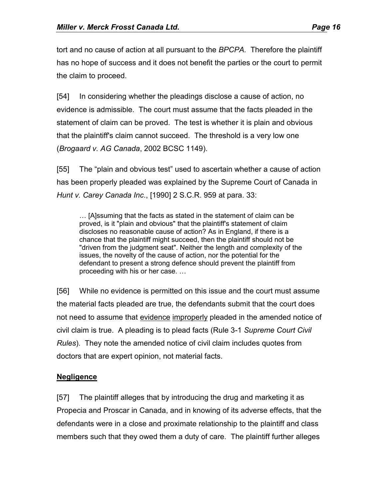tort and no cause of action at all pursuant to the *BPCPA.* Therefore the plaintiff has no hope of success and it does not benefit the parties or the court to permit the claim to proceed.

[54] In considering whether the pleadings disclose a cause of action, no evidence is admissible. The court must assume that the facts pleaded in the statement of claim can be proved. The test is whether it is plain and obvious that the plaintiff's claim cannot succeed. The threshold is a very low one (*Brogaard v. AG Canada*, 2002 BCSC 1149).

[55] The "plain and obvious test" used to ascertain whether a cause of action has been properly pleaded was explained by the Supreme Court of Canada in *Hunt v. Carey Canada Inc*., [1990] 2 S.C.R. 959 at para. 33:

… [A]ssuming that the facts as stated in the statement of claim can be proved, is it "plain and obvious" that the plaintiff's statement of claim discloses no reasonable cause of action? As in England, if there is a chance that the plaintiff might succeed, then the plaintiff should not be "driven from the judgment seat". Neither the length and complexity of the issues, the novelty of the cause of action, nor the potential for the defendant to present a strong defence should prevent the plaintiff from proceeding with his or her case. …

[56] While no evidence is permitted on this issue and the court must assume the material facts pleaded are true, the defendants submit that the court does not need to assume that evidence improperly pleaded in the amended notice of civil claim is true. A pleading is to plead facts (Rule 3-1 *Supreme Court Civil Rules*). They note the amended notice of civil claim includes quotes from doctors that are expert opinion, not material facts.

# **Negligence**

[57] The plaintiff alleges that by introducing the drug and marketing it as Propecia and Proscar in Canada, and in knowing of its adverse effects, that the defendants were in a close and proximate relationship to the plaintiff and class members such that they owed them a duty of care. The plaintiff further alleges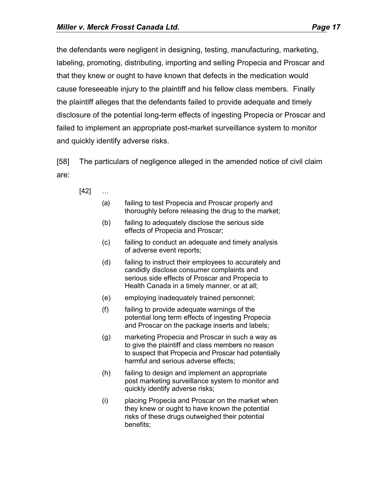the defendants were negligent in designing, testing, manufacturing, marketing, labeling, promoting, distributing, importing and selling Propecia and Proscar and that they knew or ought to have known that defects in the medication would cause foreseeable injury to the plaintiff and his fellow class members. Finally the plaintiff alleges that the defendants failed to provide adequate and timely disclosure of the potential long-term effects of ingesting Propecia or Proscar and failed to implement an appropriate post-market surveillance system to monitor and quickly identify adverse risks.

[58] The particulars of negligence alleged in the amended notice of civil claim are:

- [42] …
	- (a) failing to test Propecia and Proscar properly and thoroughly before releasing the drug to the market;
	- (b) failing to adequately disclose the serious side effects of Propecia and Proscar;
	- (c) failing to conduct an adequate and timely analysis of adverse event reports;
	- (d) failing to instruct their employees to accurately and candidly disclose consumer complaints and serious side effects of Proscar and Propecia to Health Canada in a timely manner, or at all;
	- (e) employing inadequately trained personnel;
	- (f) failing to provide adequate warnings of the potential long term effects of ingesting Propecia and Proscar on the package inserts and labels;
	- (g) marketing Propecia and Proscar in such a way as to give the plaintiff and class members no reason to suspect that Propecia and Proscar had potentially harmful and serious adverse effects;
	- (h) failing to design and implement an appropriate post marketing surveillance system to monitor and quickly identify adverse risks;
	- (i) placing Propecia and Proscar on the market when they knew or ought to have known the potential risks of these drugs outweighed their potential benefits;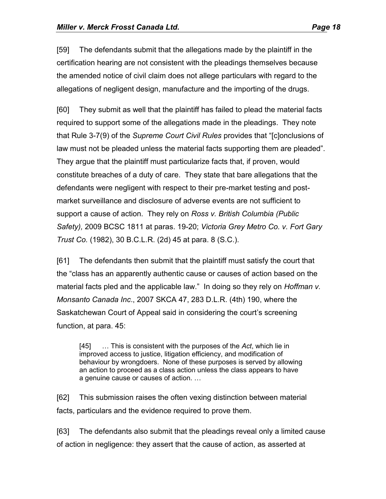[59] The defendants submit that the allegations made by the plaintiff in the certification hearing are not consistent with the pleadings themselves because the amended notice of civil claim does not allege particulars with regard to the allegations of negligent design, manufacture and the importing of the drugs.

[60] They submit as well that the plaintiff has failed to plead the material facts required to support some of the allegations made in the pleadings. They note that Rule 3-7(9) of the *Supreme Court Civil Rules* provides that "[c]onclusions of law must not be pleaded unless the material facts supporting them are pleaded". They argue that the plaintiff must particularize facts that, if proven, would constitute breaches of a duty of care. They state that bare allegations that the defendants were negligent with respect to their pre-market testing and postmarket surveillance and disclosure of adverse events are not sufficient to support a cause of action. They rely on *Ross v. British Columbia (Public Safety),* 2009 BCSC 1811 at paras. 19-20; *Victoria Grey Metro Co. v. Fort Gary Trust Co.* (1982), 30 B.C.L.R. (2d) 45 at para. 8 (S.C.).

[61] The defendants then submit that the plaintiff must satisfy the court that the "class has an apparently authentic cause or causes of action based on the material facts pled and the applicable law." In doing so they rely on *Hoffman v. Monsanto Canada Inc*., 2007 SKCA 47, 283 D.L.R. (4th) 190, where the Saskatchewan Court of Appeal said in considering the court's screening function, at para. 45:

[45] … This is consistent with the purposes of the *Act*, which lie in improved access to justice, litigation efficiency, and modification of behaviour by wrongdoers. None of these purposes is served by allowing an action to proceed as a class action unless the class appears to have a genuine cause or causes of action. …

[62] This submission raises the often vexing distinction between material facts, particulars and the evidence required to prove them.

[63] The defendants also submit that the pleadings reveal only a limited cause of action in negligence: they assert that the cause of action, as asserted at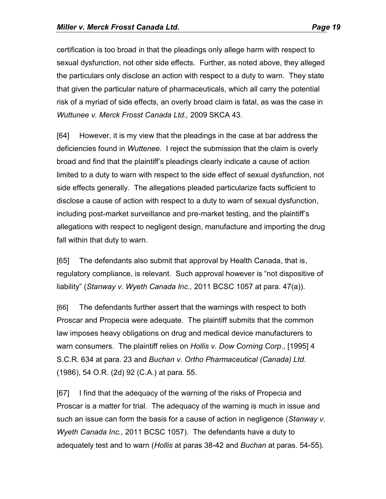certification is too broad in that the pleadings only allege harm with respect to sexual dysfunction, not other side effects. Further, as noted above, they alleged the particulars only disclose an action with respect to a duty to warn. They state that given the particular nature of pharmaceuticals, which all carry the potential risk of a myriad of side effects, an overly broad claim is fatal, as was the case in *Wuttunee v. Merck Frosst Canada Ltd.,* 2009 SKCA 43.

[64] However, it is my view that the pleadings in the case at bar address the deficiencies found in *Wuttenee.* I reject the submission that the claim is overly broad and find that the plaintiff's pleadings clearly indicate a cause of action limited to a duty to warn with respect to the side effect of sexual dysfunction, not side effects generally. The allegations pleaded particularize facts sufficient to disclose a cause of action with respect to a duty to warn of sexual dysfunction, including post-market surveillance and pre-market testing, and the plaintiff's allegations with respect to negligent design, manufacture and importing the drug fall within that duty to warn.

[65] The defendants also submit that approval by Health Canada, that is, regulatory compliance, is relevant. Such approval however is "not dispositive of liability" (*Stanway v. Wyeth Canada Inc.,* 2011 BCSC 1057 at para. 47(a)).

[66] The defendants further assert that the warnings with respect to both Proscar and Propecia were adequate. The plaintiff submits that the common law imposes heavy obligations on drug and medical device manufacturers to warn consumers. The plaintiff relies on *Hollis v. Dow Corning Corp*., [1995] 4 S.C.R. 634 at para. 23 and *Buchan v. Ortho Pharmaceutical (Canada) Ltd.* (1986), 54 O.R. (2d) 92 (C.A.) at para. 55.

[67] I find that the adequacy of the warning of the risks of Propecia and Proscar is a matter for trial. The adequacy of the warning is much in issue and such an issue can form the basis for a cause of action in negligence (*Stanway v. Wyeth Canada Inc.,* 2011 BCSC 1057). The defendants have a duty to adequately test and to warn (*Hollis* at paras 38-42 and *Buchan* at paras. 54-55).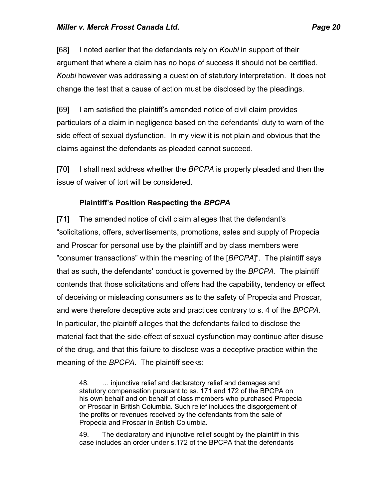[68] I noted earlier that the defendants rely on *Koubi* in support of their argument that where a claim has no hope of success it should not be certified. *Koubi* however was addressing a question of statutory interpretation. It does not change the test that a cause of action must be disclosed by the pleadings.

[69] I am satisfied the plaintiff's amended notice of civil claim provides particulars of a claim in negligence based on the defendants' duty to warn of the side effect of sexual dysfunction. In my view it is not plain and obvious that the claims against the defendants as pleaded cannot succeed.

[70] I shall next address whether the *BPCPA* is properly pleaded and then the issue of waiver of tort will be considered.

#### **Plaintiff's Position Respecting the** *BPCPA*

[71] The amended notice of civil claim alleges that the defendant's "solicitations, offers, advertisements, promotions, sales and supply of Propecia and Proscar for personal use by the plaintiff and by class members were "consumer transactions" within the meaning of the [*BPCPA*]". The plaintiff says that as such, the defendants' conduct is governed by the *BPCPA*. The plaintiff contends that those solicitations and offers had the capability, tendency or effect of deceiving or misleading consumers as to the safety of Propecia and Proscar, and were therefore deceptive acts and practices contrary to s. 4 of the *BPCPA*. In particular, the plaintiff alleges that the defendants failed to disclose the material fact that the side-effect of sexual dysfunction may continue after disuse of the drug, and that this failure to disclose was a deceptive practice within the meaning of the *BPCPA*. The plaintiff seeks:

48. … injunctive relief and declaratory relief and damages and statutory compensation pursuant to ss. 171 and 172 of the BPCPA on his own behalf and on behalf of class members who purchased Propecia or Proscar in British Columbia. Such relief includes the disgorgement of the profits or revenues received by the defendants from the sale of Propecia and Proscar in British Columbia.

49. The declaratory and injunctive relief sought by the plaintiff in this case includes an order under s.172 of the BPCPA that the defendants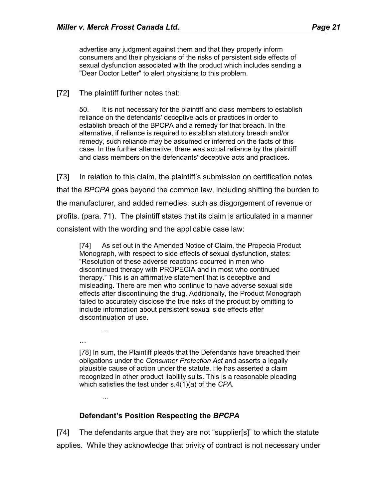advertise any judgment against them and that they properly inform consumers and their physicians of the risks of persistent side effects of sexual dysfunction associated with the product which includes sending a "Dear Doctor Letter" to alert physicians to this problem.

#### [72] The plaintiff further notes that:

50. It is not necessary for the plaintiff and class members to establish reliance on the defendants' deceptive acts or practices in order to establish breach of the BPCPA and a remedy for that breach. In the alternative, if reliance is required to establish statutory breach and/or remedy, such reliance may be assumed or inferred on the facts of this case. In the further alternative, there was actual reliance by the plaintiff and class members on the defendants' deceptive acts and practices.

[73] In relation to this claim, the plaintiff's submission on certification notes that the *BPCPA* goes beyond the common law, including shifting the burden to the manufacturer, and added remedies, such as disgorgement of revenue or profits. (para. 71). The plaintiff states that its claim is articulated in a manner consistent with the wording and the applicable case law:

[74] As set out in the Amended Notice of Claim, the Propecia Product Monograph, with respect to side effects of sexual dysfunction, states: "Resolution of these adverse reactions occurred in men who discontinued therapy with PROPECIA and in most who continued therapy." This is an affirmative statement that is deceptive and misleading. There are men who continue to have adverse sexual side effects after discontinuing the drug. Additionally, the Product Monograph failed to accurately disclose the true risks of the product by omitting to include information about persistent sexual side effects after discontinuation of use.

…

[78] In sum, the Plaintiff pleads that the Defendants have breached their obligations under the *Consumer Protection Act* and asserts a legally plausible cause of action under the statute. He has asserted a claim recognized in other product liability suits. This is a reasonable pleading which satisfies the test under s.4(1)(a) of the *CPA.*

…

…

#### **Defendant's Position Respecting the** *BPCPA*

[74] The defendants argue that they are not "supplier[s]" to which the statute applies. While they acknowledge that privity of contract is not necessary under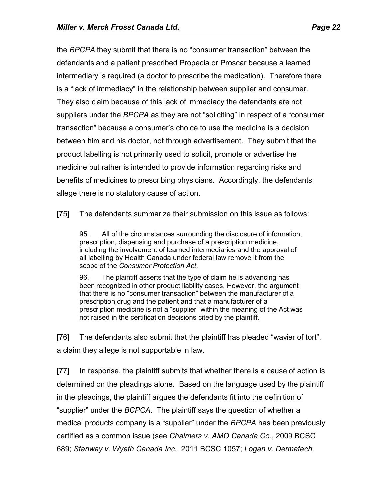the *BPCPA* they submit that there is no "consumer transaction" between the defendants and a patient prescribed Propecia or Proscar because a learned intermediary is required (a doctor to prescribe the medication). Therefore there is a "lack of immediacy" in the relationship between supplier and consumer. They also claim because of this lack of immediacy the defendants are not suppliers under the *BPCPA* as they are not "soliciting" in respect of a "consumer transaction" because a consumer's choice to use the medicine is a decision between him and his doctor, not through advertisement. They submit that the product labelling is not primarily used to solicit, promote or advertise the medicine but rather is intended to provide information regarding risks and benefits of medicines to prescribing physicians. Accordingly, the defendants allege there is no statutory cause of action.

[75] The defendants summarize their submission on this issue as follows:

95. All of the circumstances surrounding the disclosure of information, prescription, dispensing and purchase of a prescription medicine, including the involvement of learned intermediaries and the approval of all labelling by Health Canada under federal law remove it from the scope of the *Consumer Protection Act*.

96. The plaintiff asserts that the type of claim he is advancing has been recognized in other product liability cases. However, the argument that there is no "consumer transaction" between the manufacturer of a prescription drug and the patient and that a manufacturer of a prescription medicine is not a "supplier" within the meaning of the Act was not raised in the certification decisions cited by the plaintiff.

[76] The defendants also submit that the plaintiff has pleaded "wavier of tort", a claim they allege is not supportable in law.

[77] In response, the plaintiff submits that whether there is a cause of action is determined on the pleadings alone. Based on the language used by the plaintiff in the pleadings, the plaintiff argues the defendants fit into the definition of "supplier" under the *BCPCA*. The plaintiff says the question of whether a medical products company is a "supplier" under the *BPCPA* has been previously certified as a common issue (see *Chalmers v. AMO Canada Co*., 2009 BCSC 689; *Stanway v. Wyeth Canada Inc.*, 2011 BCSC 1057; *Logan v. Dermatech,*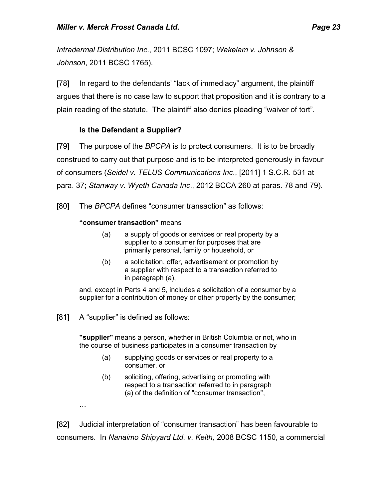*Intradermal Distribution Inc*., 2011 BCSC 1097; *Wakelam v. Johnson & Johnson*, 2011 BCSC 1765).

[78] In regard to the defendants' "lack of immediacy" argument, the plaintiff argues that there is no case law to support that proposition and it is contrary to a plain reading of the statute. The plaintiff also denies pleading "waiver of tort".

# **Is the Defendant a Supplier?**

[79] The purpose of the *BPCPA* is to protect consumers. It is to be broadly construed to carry out that purpose and is to be interpreted generously in favour of consumers (*Seidel v. TELUS Communications Inc*., [2011] 1 S.C.R. 531 at para. 37; *Stanway v. Wyeth Canada Inc*., 2012 BCCA 260 at paras. 78 and 79).

[80] The *BPCPA* defines "consumer transaction" as follows:

#### **"consumer transaction"** means

- (a) a supply of goods or services or real property by a supplier to a consumer for purposes that are primarily personal, family or household, or
- (b) a solicitation, offer, advertisement or promotion by a supplier with respect to a transaction referred to in paragraph (a),

and, except in Parts 4 and 5, includes a solicitation of a consumer by a supplier for a contribution of money or other property by the consumer;

[81] A "supplier" is defined as follows:

**"supplier"** means a person, whether in British Columbia or not, who in the course of business participates in a consumer transaction by

- (a) supplying goods or services or real property to a consumer, or
- (b) soliciting, offering, advertising or promoting with respect to a transaction referred to in paragraph (a) of the definition of "consumer transaction",

…

[82] Judicial interpretation of "consumer transaction" has been favourable to consumers. In *Nanaimo Shipyard Ltd. v. Keith,* 2008 BCSC 1150, a commercial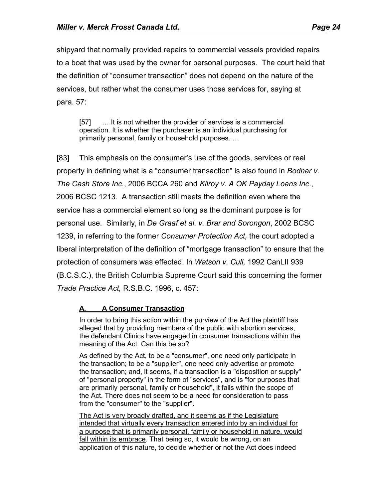shipyard that normally provided repairs to commercial vessels provided repairs to a boat that was used by the owner for personal purposes. The court held that the definition of "consumer transaction" does not depend on the nature of the services, but rather what the consumer uses those services for, saying at para. 57:

[57] ... It is not whether the provider of services is a commercial operation. It is whether the purchaser is an individual purchasing for primarily personal, family or household purposes. …

[83] This emphasis on the consumer's use of the goods, services or real property in defining what is a "consumer transaction" is also found in *Bodnar v. The Cash Store Inc.*, 2006 BCCA 260 and *Kilroy v. A OK Payday Loans Inc*., 2006 BCSC 1213. A transaction still meets the definition even where the service has a commercial element so long as the dominant purpose is for personal use. Similarly, in *De Graaf et al. v. Brar and Sorongon*, 2002 BCSC 1239, in referring to the former *Consumer Protection Act,* the court adopted a liberal interpretation of the definition of "mortgage transaction" to ensure that the protection of consumers was effected. In *Watson v. Cull,* 1992 CanLII 939 (B.C.S.C.), the British Columbia Supreme Court said this concerning the former *Trade Practice Act,* R.S.B.C. 1996, c. 457:

# **A. A Consumer Transaction**

In order to bring this action within the purview of the Act the plaintiff has alleged that by providing members of the public with abortion services, the defendant Clinics have engaged in consumer transactions within the meaning of the Act. Can this be so?

As defined by the Act, to be a "consumer", one need only participate in the transaction; to be a "supplier", one need only advertise or promote the transaction; and, it seems, if a transaction is a "disposition or supply" of "personal property" in the form of "services", and is "for purposes that are primarily personal, family or household", it falls within the scope of the Act. There does not seem to be a need for consideration to pass from the "consumer" to the "supplier".

The Act is very broadly drafted, and it seems as if the Legislature intended that virtually every transaction entered into by an individual for a purpose that is primarily personal, family or household in nature, would fall within its embrace. That being so, it would be wrong, on an application of this nature, to decide whether or not the Act does indeed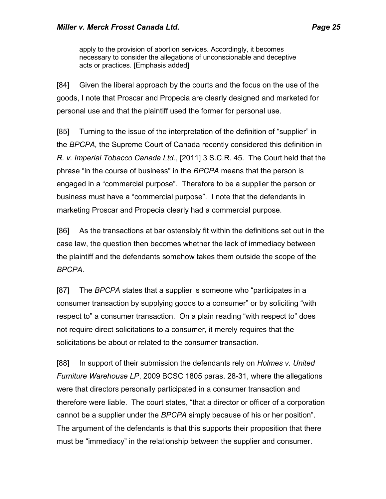apply to the provision of abortion services. Accordingly, it becomes necessary to consider the allegations of unconscionable and deceptive acts or practices. [Emphasis added]

[84] Given the liberal approach by the courts and the focus on the use of the goods, I note that Proscar and Propecia are clearly designed and marketed for personal use and that the plaintiff used the former for personal use.

[85] Turning to the issue of the interpretation of the definition of "supplier" in the *BPCPA,* the Supreme Court of Canada recently considered this definition in *R. v. Imperial Tobacco Canada Ltd.*, [2011] 3 S.C.R. 45. The Court held that the phrase "in the course of business" in the *BPCPA* means that the person is engaged in a "commercial purpose". Therefore to be a supplier the person or business must have a "commercial purpose". I note that the defendants in marketing Proscar and Propecia clearly had a commercial purpose.

[86] As the transactions at bar ostensibly fit within the definitions set out in the case law, the question then becomes whether the lack of immediacy between the plaintiff and the defendants somehow takes them outside the scope of the *BPCPA*.

[87] The *BPCPA* states that a supplier is someone who "participates in a consumer transaction by supplying goods to a consumer" or by soliciting "with respect to" a consumer transaction. On a plain reading "with respect to" does not require direct solicitations to a consumer, it merely requires that the solicitations be about or related to the consumer transaction.

[88] In support of their submission the defendants rely on *Holmes v. United Furniture Warehouse LP*, 2009 BCSC 1805 paras. 28-31, where the allegations were that directors personally participated in a consumer transaction and therefore were liable. The court states, "that a director or officer of a corporation cannot be a supplier under the *BPCPA* simply because of his or her position". The argument of the defendants is that this supports their proposition that there must be "immediacy" in the relationship between the supplier and consumer.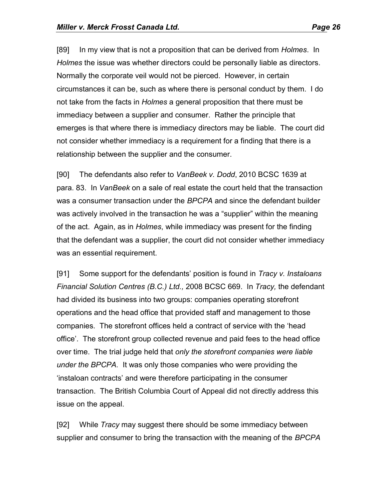[89] In my view that is not a proposition that can be derived from *Holmes*. In *Holmes* the issue was whether directors could be personally liable as directors. Normally the corporate veil would not be pierced. However, in certain circumstances it can be, such as where there is personal conduct by them. I do not take from the facts in *Holmes* a general proposition that there must be immediacy between a supplier and consumer. Rather the principle that emerges is that where there is immediacy directors may be liable. The court did not consider whether immediacy is a requirement for a finding that there is a relationship between the supplier and the consumer.

[90] The defendants also refer to *VanBeek v. Dodd*, 2010 BCSC 1639 at para. 83. In *VanBeek* on a sale of real estate the court held that the transaction was a consumer transaction under the *BPCPA* and since the defendant builder was actively involved in the transaction he was a "supplier" within the meaning of the act. Again, as in *Holmes*, while immediacy was present for the finding that the defendant was a supplier, the court did not consider whether immediacy was an essential requirement.

[91] Some support for the defendants' position is found in *Tracy v. Instaloans Financial Solution Centres (B.C.) Ltd.,* 2008 BCSC 669. In *Tracy,* the defendant had divided its business into two groups: companies operating storefront operations and the head office that provided staff and management to those companies. The storefront offices held a contract of service with the 'head office'. The storefront group collected revenue and paid fees to the head office over time. The trial judge held that *only the storefront companies were liable under the BPCPA.* It was only those companies who were providing the 'instaloan contracts' and were therefore participating in the consumer transaction. The British Columbia Court of Appeal did not directly address this issue on the appeal.

[92] While *Tracy* may suggest there should be some immediacy between supplier and consumer to bring the transaction with the meaning of the *BPCPA*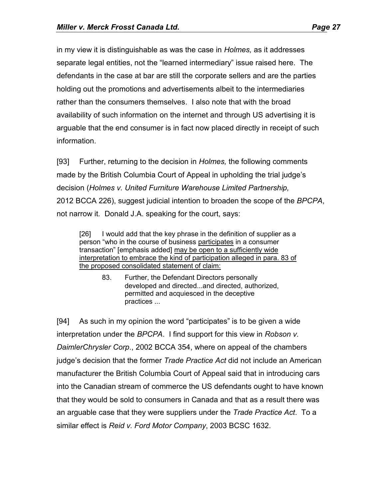in my view it is distinguishable as was the case in *Holmes,* as it addresses separate legal entities, not the "learned intermediary" issue raised here. The defendants in the case at bar are still the corporate sellers and are the parties holding out the promotions and advertisements albeit to the intermediaries rather than the consumers themselves. I also note that with the broad availability of such information on the internet and through US advertising it is arguable that the end consumer is in fact now placed directly in receipt of such information.

[93] Further, returning to the decision in *Holmes,* the following comments made by the British Columbia Court of Appeal in upholding the trial judge's decision (*Holmes v. United Furniture Warehouse Limited Partnership,*  2012 BCCA 226), suggest judicial intention to broaden the scope of the *BPCPA*, not narrow it*.* Donald J.A. speaking for the court, says:

[26] I would add that the key phrase in the definition of supplier as a person "who in the course of business participates in a consumer transaction" [emphasis added] may be open to a sufficiently wide interpretation to embrace the kind of participation alleged in para. 83 of the proposed consolidated statement of claim:

> 83. Further, the Defendant Directors personally developed and directed...and directed, authorized, permitted and acquiesced in the deceptive practices ...

[94] As such in my opinion the word "participates" is to be given a wide interpretation under the *BPCPA*. I find support for this view in *Robson v. DaimlerChrysler Corp*., 2002 BCCA 354, where on appeal of the chambers judge's decision that the former *Trade Practice Act* did not include an American manufacturer the British Columbia Court of Appeal said that in introducing cars into the Canadian stream of commerce the US defendants ought to have known that they would be sold to consumers in Canada and that as a result there was an arguable case that they were suppliers under the *Trade Practice Act*. To a similar effect is *Reid v. Ford Motor Company*, 2003 BCSC 1632.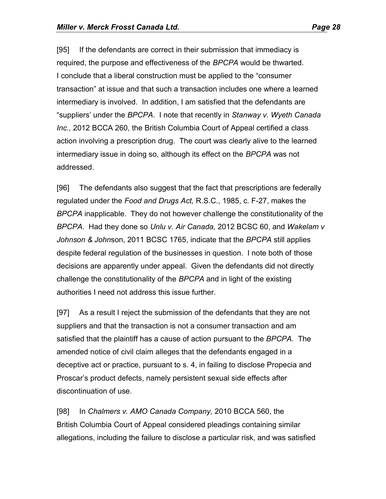[95] If the defendants are correct in their submission that immediacy is required, the purpose and effectiveness of the *BPCPA* would be thwarted. I conclude that a liberal construction must be applied to the "consumer transaction" at issue and that such a transaction includes one where a learned intermediary is involved. In addition, I am satisfied that the defendants are "suppliers' under the *BPCPA*. I note that recently in *Stanway v. Wyeth Canada Inc.,* 2012 BCCA 260, the British Columbia Court of Appeal certified a class action involving a prescription drug. The court was clearly alive to the learned intermediary issue in doing so, although its effect on the *BPCPA* was not addressed.

[96] The defendants also suggest that the fact that prescriptions are federally regulated under the *Food and Drugs Act,* R.S.C., 1985, c. F-27, makes the *BPCPA* inapplicable. They do not however challenge the constitutionality of the *BPCPA*. Had they done so *Unlu v. Air Canada,* 2012 BCSC 60, and *Wakelam v Johnson & John*son, 2011 BCSC 1765, indicate that the *BPCPA* still applies despite federal regulation of the businesses in question. I note both of those decisions are apparently under appeal. Given the defendants did not directly challenge the constitutionality of the *BPCPA* and in light of the existing authorities I need not address this issue further.

[97] As a result I reject the submission of the defendants that they are not suppliers and that the transaction is not a consumer transaction and am satisfied that the plaintiff has a cause of action pursuant to the *BPCPA.* The amended notice of civil claim alleges that the defendants engaged in a deceptive act or practice, pursuant to s. 4, in failing to disclose Propecia and Proscar's product defects, namely persistent sexual side effects after discontinuation of use.

[98] In *Chalmers v. AMO Canada Company,* 2010 BCCA 560, the British Columbia Court of Appeal considered pleadings containing similar allegations, including the failure to disclose a particular risk, and was satisfied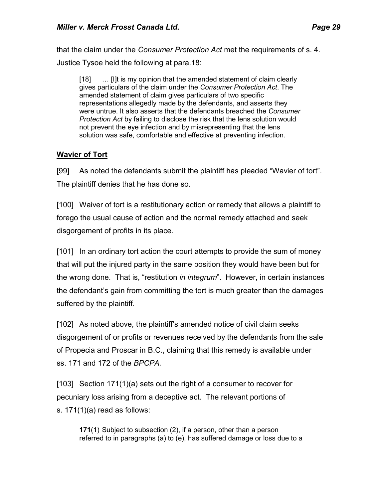that the claim under the *Consumer Protection Act* met the requirements of s. 4. Justice Tysoe held the following at para.18:

[18] … [I]t is my opinion that the amended statement of claim clearly gives particulars of the claim under the *Consumer Protection Act*. The amended statement of claim gives particulars of two specific representations allegedly made by the defendants, and asserts they were untrue. It also asserts that the defendants breached the *Consumer Protection Act* by failing to disclose the risk that the lens solution would not prevent the eye infection and by misrepresenting that the lens solution was safe, comfortable and effective at preventing infection.

### **Wavier of Tort**

[99] As noted the defendants submit the plaintiff has pleaded "Wavier of tort". The plaintiff denies that he has done so.

[100] Waiver of tort is a restitutionary action or remedy that allows a plaintiff to forego the usual cause of action and the normal remedy attached and seek disgorgement of profits in its place.

[101] In an ordinary tort action the court attempts to provide the sum of money that will put the injured party in the same position they would have been but for the wrong done. That is, "restitution *in integrum*". However, in certain instances the defendant's gain from committing the tort is much greater than the damages suffered by the plaintiff.

[102] As noted above, the plaintiff's amended notice of civil claim seeks disgorgement of or profits or revenues received by the defendants from the sale of Propecia and Proscar in B.C., claiming that this remedy is available under ss. 171 and 172 of the *BPCPA.*

[103] Section 171(1)(a) sets out the right of a consumer to recover for pecuniary loss arising from a deceptive act. The relevant portions of s. 171(1)(a) read as follows:

**171**(1) Subject to subsection (2), if a person, other than a person referred to in paragraphs (a) to (e), has suffered damage or loss due to a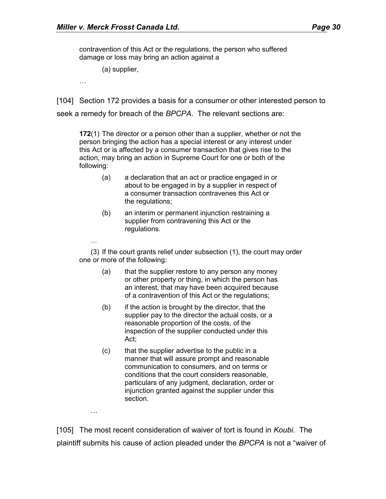contravention of this Act or the regulations, the person who suffered damage or loss may bring an action against a

(a) supplier,

…

…

…

[104] Section 172 provides a basis for a consumer or other interested person to

seek a remedy for breach of the *BPCPA*. The relevant sections are:

**172**(1) The director or a person other than a supplier, whether or not the person bringing the action has a special interest or any interest under this Act or is affected by a consumer transaction that gives rise to the action, may bring an action in Supreme Court for one or both of the following:

- (a) a declaration that an act or practice engaged in or about to be engaged in by a supplier in respect of a consumer transaction contravenes this Act or the regulations;
- (b) an interim or permanent injunction restraining a supplier from contravening this Act or the regulations.

(3) If the court grants relief under subsection (1), the court may order one or more of the following:

- (a) that the supplier restore to any person any money or other property or thing, in which the person has an interest, that may have been acquired because of a contravention of this Act or the regulations;
- $(b)$  if the action is brought by the director, that the supplier pay to the director the actual costs, or a reasonable proportion of the costs, of the inspection of the supplier conducted under this Act;
- (c) that the supplier advertise to the public in a manner that will assure prompt and reasonable communication to consumers, and on terms or conditions that the court considers reasonable, particulars of any judgment, declaration, order or injunction granted against the supplier under this section.

[105] The most recent consideration of waiver of tort is found in *Koubi*. The plaintiff submits his cause of action pleaded under the *BPCPA* is not a "waiver of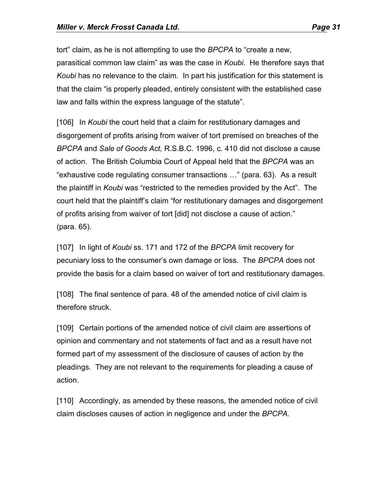tort" claim, as he is not attempting to use the *BPCPA* to "create a new, parasitical common law claim" as was the case in *Koubi*. He therefore says that *Koubi* has no relevance to the claim. In part his justification for this statement is that the claim "is properly pleaded, entirely consistent with the established case law and falls within the express language of the statute".

[106] In *Koubi* the court held that a claim for restitutionary damages and disgorgement of profits arising from waiver of tort premised on breaches of the *BPCPA* and *Sale of Goods Act,* R.S.B.C. 1996, c. 410 did not disclose a cause of action. The British Columbia Court of Appeal held that the *BPCPA* was an "exhaustive code regulating consumer transactions …" (para. 63). As a result the plaintiff in *Koubi* was "restricted to the remedies provided by the Act". The court held that the plaintiff's claim "for restitutionary damages and disgorgement of profits arising from waiver of tort [did] not disclose a cause of action." (para. 65).

[107] In light of *Koubi* ss. 171 and 172 of the *BPCPA* limit recovery for pecuniary loss to the consumer's own damage or loss. The *BPCPA* does not provide the basis for a claim based on waiver of tort and restitutionary damages.

[108] The final sentence of para. 48 of the amended notice of civil claim is therefore struck.

[109] Certain portions of the amended notice of civil claim are assertions of opinion and commentary and not statements of fact and as a result have not formed part of my assessment of the disclosure of causes of action by the pleadings. They are not relevant to the requirements for pleading a cause of action.

[110] Accordingly, as amended by these reasons, the amended notice of civil claim discloses causes of action in negligence and under the *BPCPA.*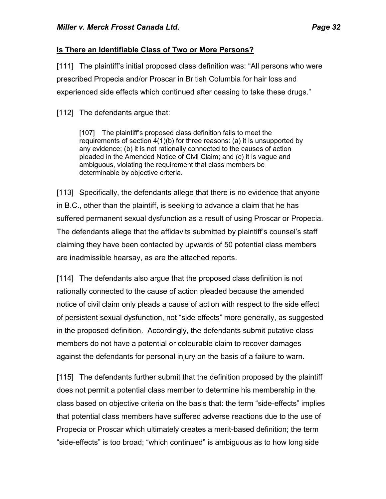# **Is There an Identifiable Class of Two or More Persons?**

[111] The plaintiff's initial proposed class definition was: "All persons who were prescribed Propecia and/or Proscar in British Columbia for hair loss and experienced side effects which continued after ceasing to take these drugs."

[112] The defendants argue that:

[107] The plaintiff's proposed class definition fails to meet the requirements of section 4(1)(b) for three reasons: (a) it is unsupported by any evidence; (b) it is not rationally connected to the causes of action pleaded in the Amended Notice of Civil Claim; and (c) it is vague and ambiguous, violating the requirement that class members be determinable by objective criteria.

[113] Specifically, the defendants allege that there is no evidence that anyone in B.C., other than the plaintiff, is seeking to advance a claim that he has suffered permanent sexual dysfunction as a result of using Proscar or Propecia. The defendants allege that the affidavits submitted by plaintiff's counsel's staff claiming they have been contacted by upwards of 50 potential class members are inadmissible hearsay, as are the attached reports.

[114] The defendants also argue that the proposed class definition is not rationally connected to the cause of action pleaded because the amended notice of civil claim only pleads a cause of action with respect to the side effect of persistent sexual dysfunction, not "side effects" more generally, as suggested in the proposed definition. Accordingly, the defendants submit putative class members do not have a potential or colourable claim to recover damages against the defendants for personal injury on the basis of a failure to warn.

[115] The defendants further submit that the definition proposed by the plaintiff does not permit a potential class member to determine his membership in the class based on objective criteria on the basis that: the term "side-effects" implies that potential class members have suffered adverse reactions due to the use of Propecia or Proscar which ultimately creates a merit-based definition; the term "side-effects" is too broad; "which continued" is ambiguous as to how long side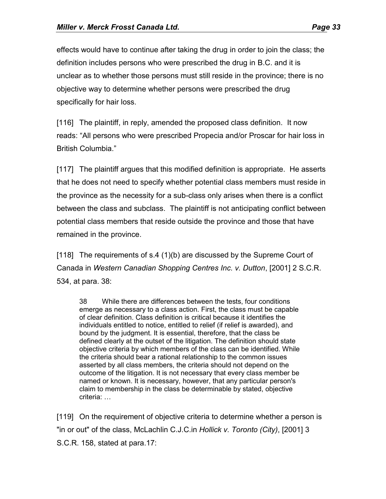effects would have to continue after taking the drug in order to join the class; the definition includes persons who were prescribed the drug in B.C. and it is unclear as to whether those persons must still reside in the province; there is no objective way to determine whether persons were prescribed the drug specifically for hair loss.

[116] The plaintiff, in reply, amended the proposed class definition. It now reads: "All persons who were prescribed Propecia and/or Proscar for hair loss in British Columbia."

[117] The plaintiff argues that this modified definition is appropriate. He asserts that he does not need to specify whether potential class members must reside in the province as the necessity for a sub-class only arises when there is a conflict between the class and subclass. The plaintiff is not anticipating conflict between potential class members that reside outside the province and those that have remained in the province.

[118] The requirements of s.4 (1)(b) are discussed by the Supreme Court of Canada in *Western Canadian Shopping Centres Inc. v. Dutton*, [2001] 2 S.C.R. 534, at para. 38:

38 While there are differences between the tests, four conditions emerge as necessary to a class action. First, the class must be capable of clear definition. Class definition is critical because it identifies the individuals entitled to notice, entitled to relief (if relief is awarded), and bound by the judgment. It is essential, therefore, that the class be defined clearly at the outset of the litigation. The definition should state objective criteria by which members of the class can be identified. While the criteria should bear a rational relationship to the common issues asserted by all class members, the criteria should not depend on the outcome of the litigation. It is not necessary that every class member be named or known. It is necessary, however, that any particular person's claim to membership in the class be determinable by stated, objective criteria: …

[119] On the requirement of objective criteria to determine whether a person is "in or out" of the class, McLachlin C.J.C.in *Hollick v. Toronto (City)*, [2001] 3 S.C.R. 158, stated at para.17: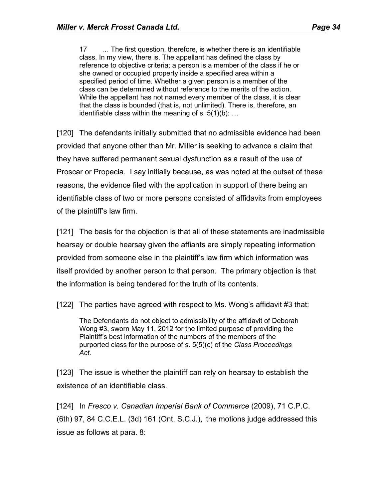17 … The first question, therefore, is whether there is an identifiable class. In my view, there is. The appellant has defined the class by reference to objective criteria; a person is a member of the class if he or she owned or occupied property inside a specified area within a specified period of time. Whether a given person is a member of the class can be determined without reference to the merits of the action. While the appellant has not named every member of the class, it is clear that the class is bounded (that is, not unlimited). There is, therefore, an identifiable class within the meaning of s.  $5(1)(b)$ : ...

[120] The defendants initially submitted that no admissible evidence had been provided that anyone other than Mr. Miller is seeking to advance a claim that they have suffered permanent sexual dysfunction as a result of the use of Proscar or Propecia. I say initially because, as was noted at the outset of these reasons, the evidence filed with the application in support of there being an identifiable class of two or more persons consisted of affidavits from employees of the plaintiff's law firm.

[121] The basis for the objection is that all of these statements are inadmissible hearsay or double hearsay given the affiants are simply repeating information provided from someone else in the plaintiff's law firm which information was itself provided by another person to that person. The primary objection is that the information is being tendered for the truth of its contents.

[122] The parties have agreed with respect to Ms. Wong's affidavit #3 that:

The Defendants do not object to admissibility of the affidavit of Deborah Wong #3, sworn May 11, 2012 for the limited purpose of providing the Plaintiff's best information of the numbers of the members of the purported class for the purpose of s. 5(5)(c) of the *Class Proceedings Act.*

[123] The issue is whether the plaintiff can rely on hearsay to establish the existence of an identifiable class.

[124] In *Fresco v. Canadian Imperial Bank of Commerce* (2009), 71 C.P.C. (6th) 97, 84 C.C.E.L. (3d) 161 (Ont. S.C.J.), the motions judge addressed this issue as follows at para. 8: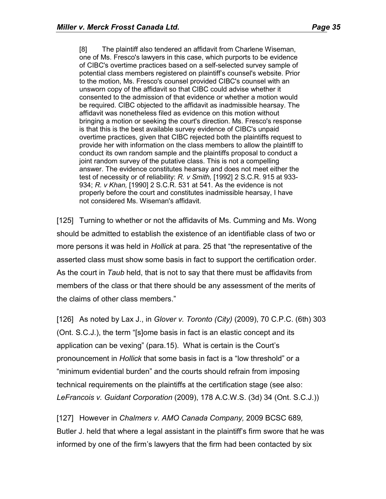[8] The plaintiff also tendered an affidavit from Charlene Wiseman, one of Ms. Fresco's lawyers in this case, which purports to be evidence of CIBC's overtime practices based on a self-selected survey sample of potential class members registered on plaintiff's counsel's website. Prior to the motion, Ms. Fresco's counsel provided CIBC's counsel with an unsworn copy of the affidavit so that CIBC could advise whether it consented to the admission of that evidence or whether a motion would be required. CIBC objected to the affidavit as inadmissible hearsay. The affidavit was nonetheless filed as evidence on this motion without bringing a motion or seeking the court's direction. Ms. Fresco's response is that this is the best available survey evidence of CIBC's unpaid overtime practices, given that CIBC rejected both the plaintiffs request to provide her with information on the class members to allow the plaintiff to conduct its own random sample and the plaintiffs proposal to conduct a joint random survey of the putative class. This is not a compelling answer. The evidence constitutes hearsay and does not meet either the test of necessity or of reliability: *R. v Smith,* [1992] 2 S.C.R. 915 at 933- 934; *R. v Khan,* [1990] 2 S.C.R. 531 at 541. As the evidence is not properly before the court and constitutes inadmissible hearsay, I have not considered Ms. Wiseman's affidavit.

[125] Turning to whether or not the affidavits of Ms. Cumming and Ms. Wong should be admitted to establish the existence of an identifiable class of two or more persons it was held in *Hollick* at para. 25 that "the representative of the asserted class must show some basis in fact to support the certification order. As the court in *Taub* held, that is not to say that there must be affidavits from members of the class or that there should be any assessment of the merits of the claims of other class members."

[126] As noted by Lax J., in *Glover v. Toronto (City)* (2009), 70 C.P.C. (6th) 303 (Ont. S.C.J.), the term "[s]ome basis in fact is an elastic concept and its application can be vexing" (para.15). What is certain is the Court's pronouncement in *Hollick* that some basis in fact is a "low threshold" or a "minimum evidential burden" and the courts should refrain from imposing technical requirements on the plaintiffs at the certification stage (see also: *LeFrancois v. Guidant Corporation* (2009), 178 A.C.W.S. (3d) 34 (Ont. S.C.J.))

[127] However in *Chalmers v. AMO Canada Company,* 2009 BCSC 689*,* Butler J. held that where a legal assistant in the plaintiff's firm swore that he was informed by one of the firm's lawyers that the firm had been contacted by six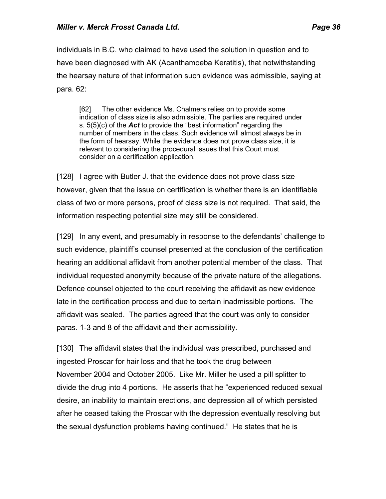individuals in B.C. who claimed to have used the solution in question and to have been diagnosed with AK (Acanthamoeba Keratitis), that notwithstanding the hearsay nature of that information such evidence was admissible, saying at para. 62:

[62] The other evidence Ms. Chalmers relies on to provide some indication of class size is also admissible. The parties are required under s. 5(5)(c) of the *Act* to provide the "best information" regarding the number of members in the class. Such evidence will almost always be in the form of hearsay. While the evidence does not prove class size, it is relevant to considering the procedural issues that this Court must consider on a certification application.

[128] I agree with Butler J. that the evidence does not prove class size however, given that the issue on certification is whether there is an identifiable class of two or more persons, proof of class size is not required. That said, the information respecting potential size may still be considered.

[129] In any event, and presumably in response to the defendants' challenge to such evidence, plaintiff's counsel presented at the conclusion of the certification hearing an additional affidavit from another potential member of the class. That individual requested anonymity because of the private nature of the allegations. Defence counsel objected to the court receiving the affidavit as new evidence late in the certification process and due to certain inadmissible portions. The affidavit was sealed. The parties agreed that the court was only to consider paras. 1-3 and 8 of the affidavit and their admissibility.

[130] The affidavit states that the individual was prescribed, purchased and ingested Proscar for hair loss and that he took the drug between November 2004 and October 2005. Like Mr. Miller he used a pill splitter to divide the drug into 4 portions. He asserts that he "experienced reduced sexual desire, an inability to maintain erections, and depression all of which persisted after he ceased taking the Proscar with the depression eventually resolving but the sexual dysfunction problems having continued." He states that he is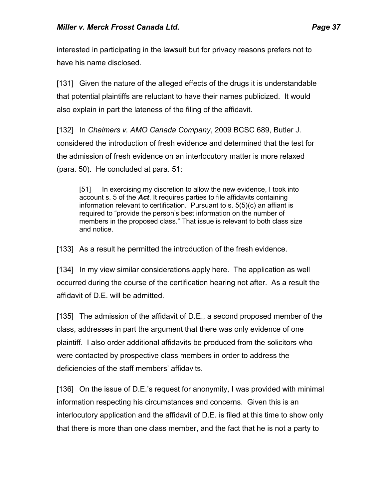interested in participating in the lawsuit but for privacy reasons prefers not to have his name disclosed.

[131] Given the nature of the alleged effects of the drugs it is understandable that potential plaintiffs are reluctant to have their names publicized. It would also explain in part the lateness of the filing of the affidavit.

[132] In *Chalmers v. AMO Canada Company*, 2009 BCSC 689, Butler J. considered the introduction of fresh evidence and determined that the test for the admission of fresh evidence on an interlocutory matter is more relaxed (para. 50). He concluded at para. 51:

[51] In exercising my discretion to allow the new evidence, I took into account s. 5 of the *Act*. It requires parties to file affidavits containing information relevant to certification. Pursuant to s. 5(5)(c) an affiant is required to "provide the person's best information on the number of members in the proposed class." That issue is relevant to both class size and notice.

[133] As a result he permitted the introduction of the fresh evidence.

[134] In my view similar considerations apply here. The application as well occurred during the course of the certification hearing not after. As a result the affidavit of D.E. will be admitted.

[135] The admission of the affidavit of D.E., a second proposed member of the class, addresses in part the argument that there was only evidence of one plaintiff. I also order additional affidavits be produced from the solicitors who were contacted by prospective class members in order to address the deficiencies of the staff members' affidavits.

[136] On the issue of D.E.'s request for anonymity, I was provided with minimal information respecting his circumstances and concerns. Given this is an interlocutory application and the affidavit of D.E. is filed at this time to show only that there is more than one class member, and the fact that he is not a party to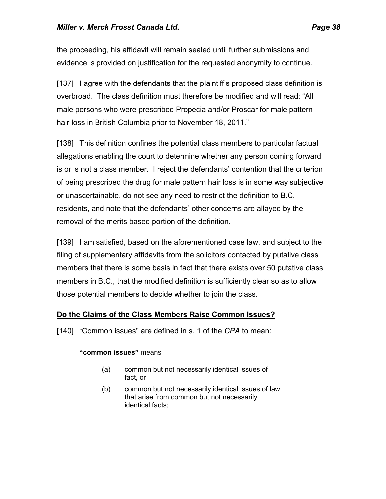the proceeding, his affidavit will remain sealed until further submissions and evidence is provided on justification for the requested anonymity to continue.

[137] I agree with the defendants that the plaintiff's proposed class definition is overbroad. The class definition must therefore be modified and will read: "All male persons who were prescribed Propecia and/or Proscar for male pattern hair loss in British Columbia prior to November 18, 2011."

[138] This definition confines the potential class members to particular factual allegations enabling the court to determine whether any person coming forward is or is not a class member. I reject the defendants' contention that the criterion of being prescribed the drug for male pattern hair loss is in some way subjective or unascertainable, do not see any need to restrict the definition to B.C. residents, and note that the defendants' other concerns are allayed by the removal of the merits based portion of the definition.

[139] I am satisfied, based on the aforementioned case law, and subject to the filing of supplementary affidavits from the solicitors contacted by putative class members that there is some basis in fact that there exists over 50 putative class members in B.C., that the modified definition is sufficiently clear so as to allow those potential members to decide whether to join the class.

#### **Do the Claims of the Class Members Raise Common Issues?**

[140] "Common issues" are defined in s. 1 of the *CPA* to mean:

#### **"common issues"** means

- (a) common but not necessarily identical issues of fact, or
- (b) common but not necessarily identical issues of law that arise from common but not necessarily identical facts;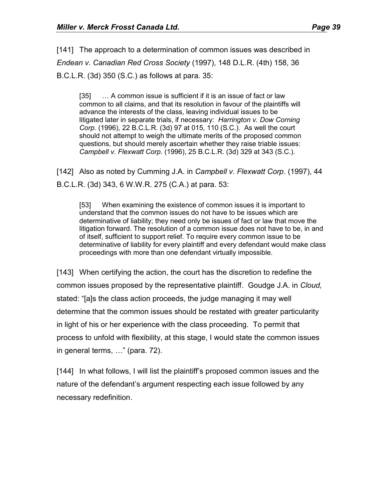[141] The approach to a determination of common issues was described in *Endean v. Canadian Red Cross Society* (1997), 148 D.L.R. (4th) 158, 36 B.C.L.R. (3d) 350 (S.C.) as follows at para. 35:

[35] ... A common issue is sufficient if it is an issue of fact or law common to all claims, and that its resolution in favour of the plaintiffs will advance the interests of the class, leaving individual issues to be litigated later in separate trials, if necessary: *Harrington v. Dow Corning Corp*. (1996), 22 B.C.L.R. (3d) 97 at 015, 110 (S.C.). As well the court should not attempt to weigh the ultimate merits of the proposed common questions, but should merely ascertain whether they raise triable issues: *Campbell v. Flexwatt Corp*. (1996), 25 B.C.L.R. (3d) 329 at 343 (S.C.).

[142] Also as noted by Cumming J.A. in *Campbell v. Flexwatt Corp*. (1997), 44 B.C.L.R. (3d) 343, 6 W.W.R. 275 (C.A.) at para. 53:

[53] When examining the existence of common issues it is important to understand that the common issues do not have to be issues which are determinative of liability; they need only be issues of fact or law that move the litigation forward. The resolution of a common issue does not have to be, in and of itself, sufficient to support relief. To require every common issue to be determinative of liability for every plaintiff and every defendant would make class proceedings with more than one defendant virtually impossible.

[143] When certifying the action, the court has the discretion to redefine the common issues proposed by the representative plaintiff. Goudge J.A. in *Cloud,* stated: "[a]s the class action proceeds, the judge managing it may well determine that the common issues should be restated with greater particularity in light of his or her experience with the class proceeding. To permit that process to unfold with flexibility, at this stage, I would state the common issues in general terms, …" (para. 72).

[144] In what follows, I will list the plaintiff's proposed common issues and the nature of the defendant's argument respecting each issue followed by any necessary redefinition.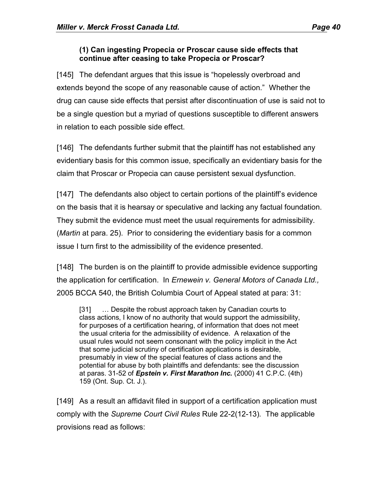#### **(1) Can ingesting Propecia or Proscar cause side effects that continue after ceasing to take Propecia or Proscar?**

[145] The defendant argues that this issue is "hopelessly overbroad and extends beyond the scope of any reasonable cause of action." Whether the drug can cause side effects that persist after discontinuation of use is said not to be a single question but a myriad of questions susceptible to different answers in relation to each possible side effect.

[146] The defendants further submit that the plaintiff has not established any evidentiary basis for this common issue, specifically an evidentiary basis for the claim that Proscar or Propecia can cause persistent sexual dysfunction.

[147] The defendants also object to certain portions of the plaintiff's evidence on the basis that it is hearsay or speculative and lacking any factual foundation. They submit the evidence must meet the usual requirements for admissibility. (*Martin* at para. 25). Prior to considering the evidentiary basis for a common issue I turn first to the admissibility of the evidence presented.

[148] The burden is on the plaintiff to provide admissible evidence supporting the application for certification. In *Ernewein v. General Motors of Canada Ltd.,* 2005 BCCA 540, the British Columbia Court of Appeal stated at para: 31:

[31] … Despite the robust approach taken by Canadian courts to class actions, I know of no authority that would support the admissibility, for purposes of a certification hearing, of information that does not meet the usual criteria for the admissibility of evidence. A relaxation of the usual rules would not seem consonant with the policy implicit in the Act that some judicial scrutiny of certification applications is desirable, presumably in view of the special features of class actions and the potential for abuse by both plaintiffs and defendants: see the discussion at paras. 31-52 of *Epstein v. First Marathon Inc.* (2000) 41 C.P.C. (4th) 159 (Ont. Sup. Ct. J.).

[149] As a result an affidavit filed in support of a certification application must comply with the *Supreme Court Civil Rules* Rule 22-2(12-13)*.* The applicable provisions read as follows: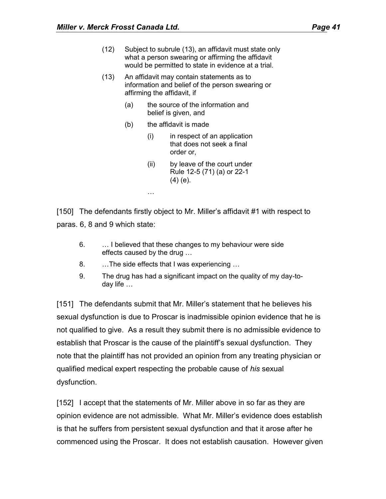- (12) Subject to subrule (13), an affidavit must state only what a person swearing or affirming the affidavit would be permitted to state in evidence at a trial.
- (13) An affidavit may contain statements as to information and belief of the person swearing or affirming the affidavit, if
	- (a) the source of the information and belief is given, and
	- (b) the affidavit is made
		- (i) in respect of an application that does not seek a final order or,
		- (ii) by leave of the court under Rule 12-5 (71) (a) or 22-1 (4) (e).

[150] The defendants firstly object to Mr. Miller's affidavit #1 with respect to paras. 6, 8 and 9 which state:

- 6. … I believed that these changes to my behaviour were side effects caused by the drug …
- 8. …The side effects that I was experiencing …

…

9. The drug has had a significant impact on the quality of my day-today life …

[151] The defendants submit that Mr. Miller's statement that he believes his sexual dysfunction is due to Proscar is inadmissible opinion evidence that he is not qualified to give. As a result they submit there is no admissible evidence to establish that Proscar is the cause of the plaintiff's sexual dysfunction. They note that the plaintiff has not provided an opinion from any treating physician or qualified medical expert respecting the probable cause of *his* sexual dysfunction.

[152] I accept that the statements of Mr. Miller above in so far as they are opinion evidence are not admissible. What Mr. Miller's evidence does establish is that he suffers from persistent sexual dysfunction and that it arose after he commenced using the Proscar. It does not establish causation. However given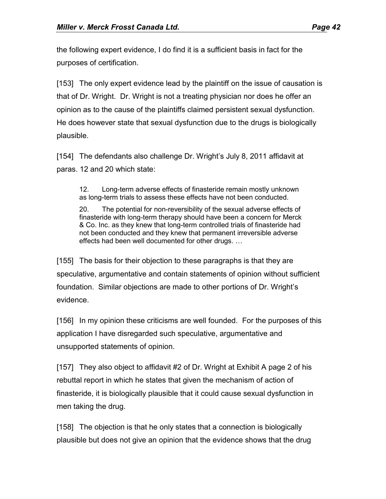the following expert evidence, I do find it is a sufficient basis in fact for the purposes of certification.

[153] The only expert evidence lead by the plaintiff on the issue of causation is that of Dr. Wright. Dr. Wright is not a treating physician nor does he offer an opinion as to the cause of the plaintiffs claimed persistent sexual dysfunction. He does however state that sexual dysfunction due to the drugs is biologically plausible.

[154] The defendants also challenge Dr. Wright's July 8, 2011 affidavit at paras. 12 and 20 which state:

12. Long-term adverse effects of finasteride remain mostly unknown as long-term trials to assess these effects have not been conducted.

20. The potential for non-reversibility of the sexual adverse effects of finasteride with long-term therapy should have been a concern for Merck & Co. Inc. as they knew that long-term controlled trials of finasteride had not been conducted and they knew that permanent irreversible adverse effects had been well documented for other drugs. …

[155] The basis for their objection to these paragraphs is that they are speculative, argumentative and contain statements of opinion without sufficient foundation. Similar objections are made to other portions of Dr. Wright's evidence.

[156] In my opinion these criticisms are well founded. For the purposes of this application I have disregarded such speculative, argumentative and unsupported statements of opinion.

[157] They also object to affidavit #2 of Dr. Wright at Exhibit A page 2 of his rebuttal report in which he states that given the mechanism of action of finasteride, it is biologically plausible that it could cause sexual dysfunction in men taking the drug.

[158] The objection is that he only states that a connection is biologically plausible but does not give an opinion that the evidence shows that the drug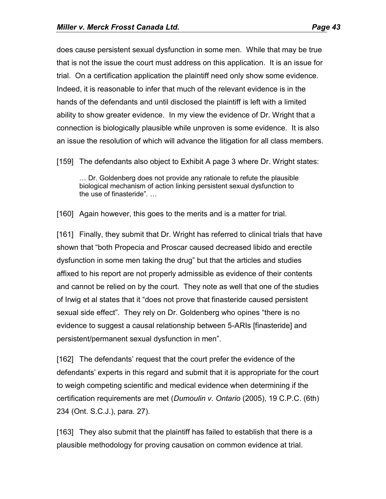does cause persistent sexual dysfunction in some men. While that may be true that is not the issue the court must address on this application. It is an issue for trial. On a certification application the plaintiff need only show some evidence. Indeed, it is reasonable to infer that much of the relevant evidence is in the hands of the defendants and until disclosed the plaintiff is left with a limited ability to show greater evidence. In my view the evidence of Dr. Wright that a connection is biologically plausible while unproven is some evidence. It is also an issue the resolution of which will advance the litigation for all class members.

[159] The defendants also object to Exhibit A page 3 where Dr. Wright states:

… Dr. Goldenberg does not provide any rationale to refute the plausible biological mechanism of action linking persistent sexual dysfunction to the use of finasteride". …

[160] Again however, this goes to the merits and is a matter for trial.

[161] Finally, they submit that Dr. Wright has referred to clinical trials that have shown that "both Propecia and Proscar caused decreased libido and erectile dysfunction in some men taking the drug" but that the articles and studies affixed to his report are not properly admissible as evidence of their contents and cannot be relied on by the court. They note as well that one of the studies of Irwig et al states that it "does not prove that finasteride caused persistent sexual side effect". They rely on Dr. Goldenberg who opines "there is no evidence to suggest a causal relationship between 5-ARIs [finasteride] and persistent/permanent sexual dysfunction in men".

[162] The defendants' request that the court prefer the evidence of the defendants' experts in this regard and submit that it is appropriate for the court to weigh competing scientific and medical evidence when determining if the certification requirements are met (*Dumoulin v. Ontario* (2005), 19 C.P.C. (6th) 234 (Ont. S.C.J.), para. 27).

[163] They also submit that the plaintiff has failed to establish that there is a plausible methodology for proving causation on common evidence at trial.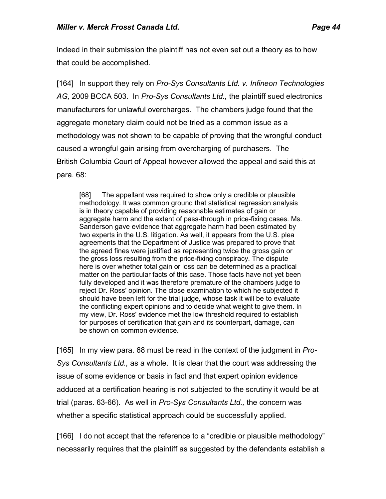Indeed in their submission the plaintiff has not even set out a theory as to how that could be accomplished.

[164] In support they rely on *Pro-Sys Consultants Ltd. v. Infineon Technologies AG,* 2009 BCCA 503. In *Pro-Sys Consultants Ltd.,* the plaintiff sued electronics manufacturers for unlawful overcharges. The chambers judge found that the aggregate monetary claim could not be tried as a common issue as a methodology was not shown to be capable of proving that the wrongful conduct caused a wrongful gain arising from overcharging of purchasers. The British Columbia Court of Appeal however allowed the appeal and said this at para. 68:

[68] The appellant was required to show only a credible or plausible methodology. It was common ground that statistical regression analysis is in theory capable of providing reasonable estimates of gain or aggregate harm and the extent of pass-through in price-fixing cases. Ms. Sanderson gave evidence that aggregate harm had been estimated by two experts in the U.S. litigation. As well, it appears from the U.S. plea agreements that the Department of Justice was prepared to prove that the agreed fines were justified as representing twice the gross gain or the gross loss resulting from the price-fixing conspiracy. The dispute here is over whether total gain or loss can be determined as a practical matter on the particular facts of this case. Those facts have not yet been fully developed and it was therefore premature of the chambers judge to reject Dr. Ross' opinion. The close examination to which he subjected it should have been left for the trial judge, whose task it will be to evaluate the conflicting expert opinions and to decide what weight to give them. In my view, Dr. Ross' evidence met the low threshold required to establish for purposes of certification that gain and its counterpart, damage, can be shown on common evidence.

[165] In my view para. 68 must be read in the context of the judgment in *Pro-Sys Consultants Ltd.,* as a whole. It is clear that the court was addressing the issue of some evidence or basis in fact and that expert opinion evidence adduced at a certification hearing is not subjected to the scrutiny it would be at trial (paras. 63-66). As well in *Pro-Sys Consultants Ltd.,* the concern was whether a specific statistical approach could be successfully applied.

[166] I do not accept that the reference to a "credible or plausible methodology" necessarily requires that the plaintiff as suggested by the defendants establish a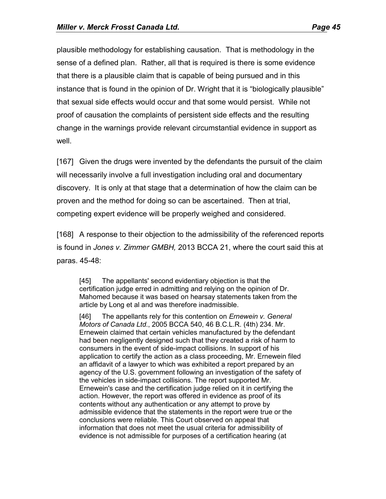plausible methodology for establishing causation. That is methodology in the sense of a defined plan. Rather, all that is required is there is some evidence that there is a plausible claim that is capable of being pursued and in this instance that is found in the opinion of Dr. Wright that it is "biologically plausible" that sexual side effects would occur and that some would persist. While not proof of causation the complaints of persistent side effects and the resulting change in the warnings provide relevant circumstantial evidence in support as well.

[167] Given the drugs were invented by the defendants the pursuit of the claim will necessarily involve a full investigation including oral and documentary discovery. It is only at that stage that a determination of how the claim can be proven and the method for doing so can be ascertained. Then at trial, competing expert evidence will be properly weighed and considered.

[168] A response to their objection to the admissibility of the referenced reports is found in *Jones v. Zimmer GMBH,* 2013 BCCA 21, where the court said this at paras. 45-48:

[45] The appellants' second evidentiary objection is that the certification judge erred in admitting and relying on the opinion of Dr. Mahomed because it was based on hearsay statements taken from the article by Long et al and was therefore inadmissible.

[46] The appellants rely for this contention on *Ernewein v. General Motors of Canada Ltd*., 2005 BCCA 540, 46 B.C.L.R. (4th) 234. Mr. Ernewein claimed that certain vehicles manufactured by the defendant had been negligently designed such that they created a risk of harm to consumers in the event of side-impact collisions. In support of his application to certify the action as a class proceeding, Mr. Ernewein filed an affidavit of a lawyer to which was exhibited a report prepared by an agency of the U.S. government following an investigation of the safety of the vehicles in side-impact collisions. The report supported Mr. Ernewein's case and the certification judge relied on it in certifying the action. However, the report was offered in evidence as proof of its contents without any authentication or any attempt to prove by admissible evidence that the statements in the report were true or the conclusions were reliable. This Court observed on appeal that information that does not meet the usual criteria for admissibility of evidence is not admissible for purposes of a certification hearing (at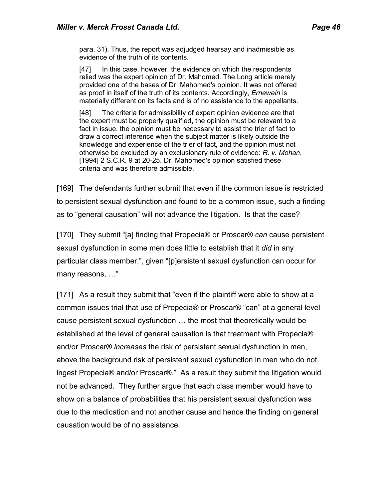para. 31). Thus, the report was adjudged hearsay and inadmissible as evidence of the truth of its contents.

[47] In this case, however, the evidence on which the respondents relied was the expert opinion of Dr. Mahomed. The Long article merely provided one of the bases of Dr. Mahomed's opinion. It was not offered as proof in itself of the truth of its contents. Accordingly, *Ernewein* is materially different on its facts and is of no assistance to the appellants.

[48] The criteria for admissibility of expert opinion evidence are that the expert must be properly qualified, the opinion must be relevant to a fact in issue, the opinion must be necessary to assist the trier of fact to draw a correct inference when the subject matter is likely outside the knowledge and experience of the trier of fact, and the opinion must not otherwise be excluded by an exclusionary rule of evidence: *R. v. Mohan*, [1994] 2 S.C.R. 9 at 20-25. Dr. Mahomed's opinion satisfied these criteria and was therefore admissible.

[169] The defendants further submit that even if the common issue is restricted to persistent sexual dysfunction and found to be a common issue, such a finding as to "general causation" will not advance the litigation. Is that the case?

[170] They submit "[a] finding that Propecia® or Proscar® *can* cause persistent sexual dysfunction in some men does little to establish that it *did* in any particular class member.", given "[p]ersistent sexual dysfunction can occur for many reasons, …"

[171] As a result they submit that "even if the plaintiff were able to show at a common issues trial that use of Propecia® or Proscar® "can" at a general level cause persistent sexual dysfunction … the most that theoretically would be established at the level of general causation is that treatment with Propecia® and/or Proscar® *increases* the risk of persistent sexual dysfunction in men, above the background risk of persistent sexual dysfunction in men who do not ingest Propecia® and/or Proscar®." As a result they submit the litigation would not be advanced. They further argue that each class member would have to show on a balance of probabilities that his persistent sexual dysfunction was due to the medication and not another cause and hence the finding on general causation would be of no assistance.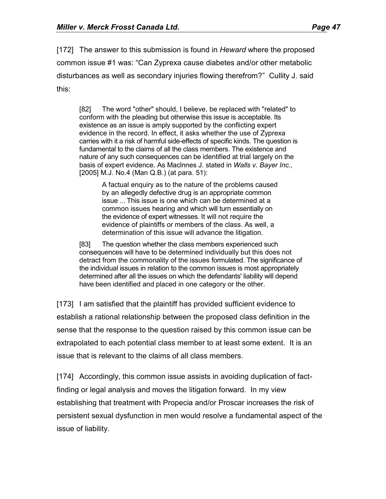[172] The answer to this submission is found in *Heward* where the proposed common issue #1 was: "Can Zyprexa cause diabetes and/or other metabolic disturbances as well as secondary injuries flowing therefrom?" Cullity J. said this:

[82] The word "other" should, I believe, be replaced with "related" to conform with the pleading but otherwise this issue is acceptable. Its existence as an issue is amply supported by the conflicting expert evidence in the record. In effect, it asks whether the use of Zyprexa carries with it a risk of harmful side-effects of specific kinds. The question is fundamental to the claims of all the class members. The existence and nature of any such consequences can be identified at trial largely on the basis of expert evidence. As Maclnnes J. stated in *Walls v. Bayer Inc.,* [2005] M.J. No.4 (Man Q.B.) (at para. 51):

> A factual enquiry as to the nature of the problems caused by an allegedly defective drug is an appropriate common issue ... This issue is one which can be determined at a common issues hearing and which will turn essentially on the evidence of expert witnesses. It will not require the evidence of plaintiffs or members of the class. As well, a determination of this issue will advance the litigation.

[83] The question whether the class members experienced such consequences will have to be determined individually but this does not detract from the commonality of the issues formulated. The significance of the individual issues in relation to the common issues is most appropriately determined after all the issues on which the defendants' liability will depend have been identified and placed in one category or the other.

[173] I am satisfied that the plaintiff has provided sufficient evidence to establish a rational relationship between the proposed class definition in the sense that the response to the question raised by this common issue can be extrapolated to each potential class member to at least some extent. It is an issue that is relevant to the claims of all class members.

[174] Accordingly, this common issue assists in avoiding duplication of factfinding or legal analysis and moves the litigation forward. In my view establishing that treatment with Propecia and/or Proscar increases the risk of persistent sexual dysfunction in men would resolve a fundamental aspect of the issue of liability.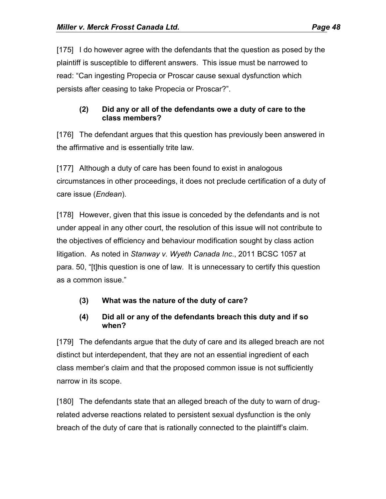[175] I do however agree with the defendants that the question as posed by the plaintiff is susceptible to different answers. This issue must be narrowed to read: "Can ingesting Propecia or Proscar cause sexual dysfunction which persists after ceasing to take Propecia or Proscar?".

### **(2) Did any or all of the defendants owe a duty of care to the class members?**

[176] The defendant argues that this question has previously been answered in the affirmative and is essentially trite law.

[177] Although a duty of care has been found to exist in analogous circumstances in other proceedings, it does not preclude certification of a duty of care issue (*Endean*).

[178] However, given that this issue is conceded by the defendants and is not under appeal in any other court, the resolution of this issue will not contribute to the objectives of efficiency and behaviour modification sought by class action litigation. As noted in *Stanway v. Wyeth Canada Inc*., 2011 BCSC 1057 at para. 50, "[t]his question is one of law. It is unnecessary to certify this question as a common issue."

# **(3) What was the nature of the duty of care?**

### **(4) Did all or any of the defendants breach this duty and if so when?**

[179] The defendants argue that the duty of care and its alleged breach are not distinct but interdependent, that they are not an essential ingredient of each class member's claim and that the proposed common issue is not sufficiently narrow in its scope.

[180] The defendants state that an alleged breach of the duty to warn of drugrelated adverse reactions related to persistent sexual dysfunction is the only breach of the duty of care that is rationally connected to the plaintiff's claim.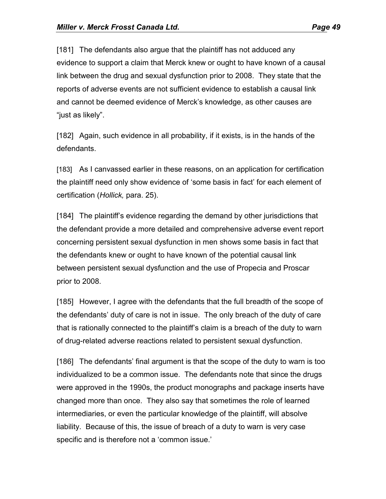[181] The defendants also argue that the plaintiff has not adduced any evidence to support a claim that Merck knew or ought to have known of a causal link between the drug and sexual dysfunction prior to 2008. They state that the reports of adverse events are not sufficient evidence to establish a causal link and cannot be deemed evidence of Merck's knowledge, as other causes are "just as likely".

[182] Again, such evidence in all probability, if it exists, is in the hands of the defendants.

[183] As I canvassed earlier in these reasons, on an application for certification the plaintiff need only show evidence of 'some basis in fact' for each element of certification (*Hollick,* para. 25).

[184] The plaintiff's evidence regarding the demand by other jurisdictions that the defendant provide a more detailed and comprehensive adverse event report concerning persistent sexual dysfunction in men shows some basis in fact that the defendants knew or ought to have known of the potential causal link between persistent sexual dysfunction and the use of Propecia and Proscar prior to 2008.

[185] However, I agree with the defendants that the full breadth of the scope of the defendants' duty of care is not in issue. The only breach of the duty of care that is rationally connected to the plaintiff's claim is a breach of the duty to warn of drug-related adverse reactions related to persistent sexual dysfunction.

[186] The defendants' final argument is that the scope of the duty to warn is too individualized to be a common issue. The defendants note that since the drugs were approved in the 1990s, the product monographs and package inserts have changed more than once. They also say that sometimes the role of learned intermediaries, or even the particular knowledge of the plaintiff, will absolve liability. Because of this, the issue of breach of a duty to warn is very case specific and is therefore not a 'common issue.'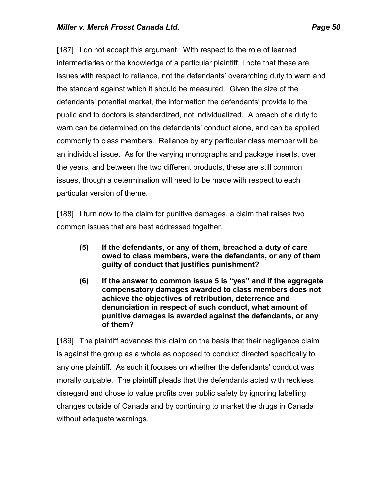[187] I do not accept this argument. With respect to the role of learned intermediaries or the knowledge of a particular plaintiff, I note that these are issues with respect to reliance, not the defendants' overarching duty to warn and the standard against which it should be measured. Given the size of the defendants' potential market, the information the defendants' provide to the public and to doctors is standardized, not individualized. A breach of a duty to warn can be determined on the defendants' conduct alone, and can be applied commonly to class members. Reliance by any particular class member will be an individual issue. As for the varying monographs and package inserts, over the years, and between the two different products, these are still common issues, though a determination will need to be made with respect to each particular version of theme.

[188] I turn now to the claim for punitive damages, a claim that raises two common issues that are best addressed together.

- **(5) If the defendants, or any of them, breached a duty of care owed to class members, were the defendants, or any of them guilty of conduct that justifies punishment?**
- **(6) If the answer to common issue 5 is "yes" and if the aggregate compensatory damages awarded to class members does not achieve the objectives of retribution, deterrence and denunciation in respect of such conduct, what amount of punitive damages is awarded against the defendants, or any of them?**

[189] The plaintiff advances this claim on the basis that their negligence claim is against the group as a whole as opposed to conduct directed specifically to any one plaintiff. As such it focuses on whether the defendants' conduct was morally culpable. The plaintiff pleads that the defendants acted with reckless disregard and chose to value profits over public safety by ignoring labelling changes outside of Canada and by continuing to market the drugs in Canada without adequate warnings.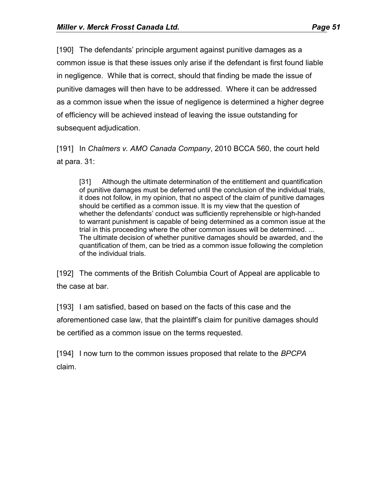[190] The defendants' principle argument against punitive damages as a common issue is that these issues only arise if the defendant is first found liable in negligence. While that is correct, should that finding be made the issue of punitive damages will then have to be addressed. Where it can be addressed as a common issue when the issue of negligence is determined a higher degree of efficiency will be achieved instead of leaving the issue outstanding for subsequent adjudication.

[191] In *Chalmers v. AMO Canada Company*, 2010 BCCA 560, the court held at para. 31:

[31] Although the ultimate determination of the entitlement and quantification of punitive damages must be deferred until the conclusion of the individual trials, it does not follow, in my opinion, that no aspect of the claim of punitive damages should be certified as a common issue. It is my view that the question of whether the defendants' conduct was sufficiently reprehensible or high-handed to warrant punishment is capable of being determined as a common issue at the trial in this proceeding where the other common issues will be determined. ... The ultimate decision of whether punitive damages should be awarded, and the quantification of them, can be tried as a common issue following the completion of the individual trials.

[192] The comments of the British Columbia Court of Appeal are applicable to the case at bar.

[193] I am satisfied, based on based on the facts of this case and the aforementioned case law, that the plaintiff's claim for punitive damages should be certified as a common issue on the terms requested.

[194] I now turn to the common issues proposed that relate to the *BPCPA* claim.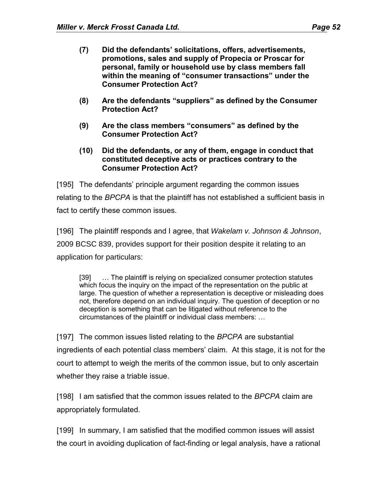- **(7) Did the defendants' solicitations, offers, advertisements, promotions, sales and supply of Propecia or Proscar for personal, family or household use by class members fall within the meaning of "consumer transactions" under the Consumer Protection Act?**
- **(8) Are the defendants "suppliers" as defined by the Consumer Protection Act?**
- **(9) Are the class members "consumers" as defined by the Consumer Protection Act?**
- **(10) Did the defendants, or any of them, engage in conduct that constituted deceptive acts or practices contrary to the Consumer Protection Act?**

[195] The defendants' principle argument regarding the common issues relating to the *BPCPA* is that the plaintiff has not established a sufficient basis in fact to certify these common issues.

[196] The plaintiff responds and I agree, that *Wakelam v. Johnson & Johnson*, 2009 BCSC 839, provides support for their position despite it relating to an application for particulars:

[39] … The plaintiff is relying on specialized consumer protection statutes which focus the inquiry on the impact of the representation on the public at large. The question of whether a representation is deceptive or misleading does not, therefore depend on an individual inquiry. The question of deception or no deception is something that can be litigated without reference to the circumstances of the plaintiff or individual class members: …

[197] The common issues listed relating to the *BPCPA* are substantial ingredients of each potential class members' claim. At this stage, it is not for the court to attempt to weigh the merits of the common issue, but to only ascertain whether they raise a triable issue.

[198] I am satisfied that the common issues related to the *BPCPA* claim are appropriately formulated.

[199] In summary, I am satisfied that the modified common issues will assist the court in avoiding duplication of fact-finding or legal analysis, have a rational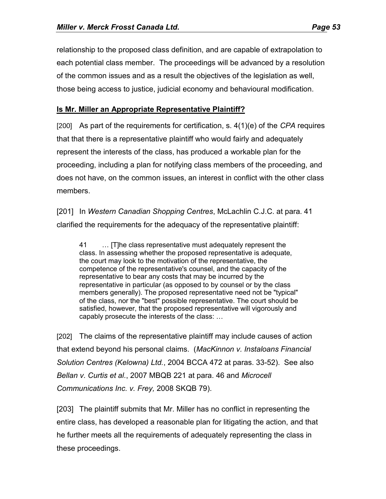relationship to the proposed class definition, and are capable of extrapolation to each potential class member. The proceedings will be advanced by a resolution of the common issues and as a result the objectives of the legislation as well, those being access to justice, judicial economy and behavioural modification.

#### **Is Mr. Miller an Appropriate Representative Plaintiff?**

[200] As part of the requirements for certification, s. 4(1)(e) of the *CPA* requires that that there is a representative plaintiff who would fairly and adequately represent the interests of the class, has produced a workable plan for the proceeding, including a plan for notifying class members of the proceeding, and does not have, on the common issues, an interest in conflict with the other class members.

[201] In *Western Canadian Shopping Centres*, McLachlin C.J.C. at para. 41 clarified the requirements for the adequacy of the representative plaintiff:

41 … [T]he class representative must adequately represent the class. In assessing whether the proposed representative is adequate, the court may look to the motivation of the representative, the competence of the representative's counsel, and the capacity of the representative to bear any costs that may be incurred by the representative in particular (as opposed to by counsel or by the class members generally). The proposed representative need not be "typical" of the class, nor the "best" possible representative. The court should be satisfied, however, that the proposed representative will vigorously and capably prosecute the interests of the class: …

[202] The claims of the representative plaintiff may include causes of action that extend beyond his personal claims. (*MacKinnon v. Instaloans Financial Solution Centres (Kelowna) Ltd.*, 2004 BCCA 472 at paras. 33-52). See also *Bellan v. Curtis et al.*, 2007 MBQB 221 at para. 46 and *Microcell Communications Inc. v. Frey,* 2008 SKQB 79).

[203] The plaintiff submits that Mr. Miller has no conflict in representing the entire class, has developed a reasonable plan for litigating the action, and that he further meets all the requirements of adequately representing the class in these proceedings.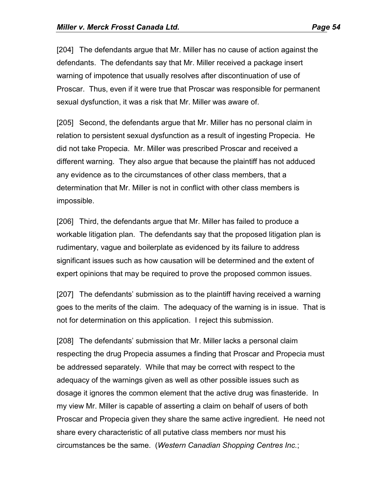[204] The defendants argue that Mr. Miller has no cause of action against the defendants. The defendants say that Mr. Miller received a package insert warning of impotence that usually resolves after discontinuation of use of Proscar. Thus, even if it were true that Proscar was responsible for permanent sexual dysfunction, it was a risk that Mr. Miller was aware of.

[205] Second, the defendants argue that Mr. Miller has no personal claim in relation to persistent sexual dysfunction as a result of ingesting Propecia. He did not take Propecia. Mr. Miller was prescribed Proscar and received a different warning. They also argue that because the plaintiff has not adduced any evidence as to the circumstances of other class members, that a determination that Mr. Miller is not in conflict with other class members is impossible.

[206] Third, the defendants argue that Mr. Miller has failed to produce a workable litigation plan. The defendants say that the proposed litigation plan is rudimentary, vague and boilerplate as evidenced by its failure to address significant issues such as how causation will be determined and the extent of expert opinions that may be required to prove the proposed common issues.

[207] The defendants' submission as to the plaintiff having received a warning goes to the merits of the claim. The adequacy of the warning is in issue. That is not for determination on this application. I reject this submission.

[208] The defendants' submission that Mr. Miller lacks a personal claim respecting the drug Propecia assumes a finding that Proscar and Propecia must be addressed separately. While that may be correct with respect to the adequacy of the warnings given as well as other possible issues such as dosage it ignores the common element that the active drug was finasteride. In my view Mr. Miller is capable of asserting a claim on behalf of users of both Proscar and Propecia given they share the same active ingredient. He need not share every characteristic of all putative class members nor must his circumstances be the same. (*Western Canadian Shopping Centres Inc.*;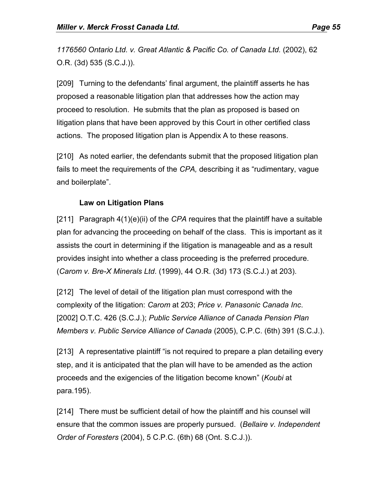*1176560 Ontario Ltd. v. Great Atlantic & Pacific Co. of Canada Ltd.* (2002), 62 O.R. (3d) 535 (S.C.J.)).

[209] Turning to the defendants' final argument, the plaintiff asserts he has proposed a reasonable litigation plan that addresses how the action may proceed to resolution. He submits that the plan as proposed is based on litigation plans that have been approved by this Court in other certified class actions. The proposed litigation plan is Appendix A to these reasons.

[210] As noted earlier, the defendants submit that the proposed litigation plan fails to meet the requirements of the *CPA,* describing it as "rudimentary, vague and boilerplate".

#### **Law on Litigation Plans**

[211] Paragraph 4(1)(e)(ii) of the *CPA* requires that the plaintiff have a suitable plan for advancing the proceeding on behalf of the class. This is important as it assists the court in determining if the litigation is manageable and as a result provides insight into whether a class proceeding is the preferred procedure. (*Carom v. Bre-X Minerals Ltd*. (1999), 44 O.R. (3d) 173 (S.C.J.) at 203).

[212] The level of detail of the litigation plan must correspond with the complexity of the litigation: *Carom* at 203; *Price v. Panasonic Canada Inc*. [2002] O.T.C. 426 (S.C.J.); *Public Service Alliance of Canada Pension Plan Members v. Public Service Alliance of Canada* (2005), C.P.C. (6th) 391 (S.C.J.).

[213] A representative plaintiff "is not required to prepare a plan detailing every step, and it is anticipated that the plan will have to be amended as the action proceeds and the exigencies of the litigation become known" (*Koubi* at para.195).

[214] There must be sufficient detail of how the plaintiff and his counsel will ensure that the common issues are properly pursued. (*Bellaire v. Independent Order of Foresters* (2004), 5 C.P.C. (6th) 68 (Ont. S.C.J.)).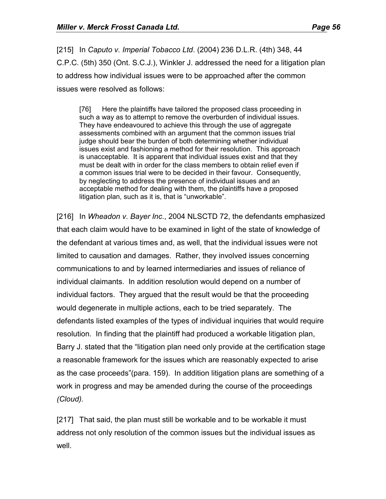[215] In *Caputo v. Imperial Tobacco Ltd*. (2004) 236 D.L.R. (4th) 348, 44 C.P.C. (5th) 350 (Ont. S.C.J.), Winkler J. addressed the need for a litigation plan to address how individual issues were to be approached after the common issues were resolved as follows:

[76] Here the plaintiffs have tailored the proposed class proceeding in such a way as to attempt to remove the overburden of individual issues. They have endeavoured to achieve this through the use of aggregate assessments combined with an argument that the common issues trial judge should bear the burden of both determining whether individual issues exist and fashioning a method for their resolution. This approach is unacceptable. It is apparent that individual issues exist and that they must be dealt with in order for the class members to obtain relief even if a common issues trial were to be decided in their favour. Consequently, by neglecting to address the presence of individual issues and an acceptable method for dealing with them, the plaintiffs have a proposed litigation plan, such as it is, that is "unworkable".

[216] In *Wheadon v. Bayer Inc*., 2004 NLSCTD 72, the defendants emphasized that each claim would have to be examined in light of the state of knowledge of the defendant at various times and, as well, that the individual issues were not limited to causation and damages. Rather, they involved issues concerning communications to and by learned intermediaries and issues of reliance of individual claimants. In addition resolution would depend on a number of individual factors. They argued that the result would be that the proceeding would degenerate in multiple actions, each to be tried separately. The defendants listed examples of the types of individual inquiries that would require resolution. In finding that the plaintiff had produced a workable litigation plan, Barry J. stated that the "litigation plan need only provide at the certification stage a reasonable framework for the issues which are reasonably expected to arise as the case proceeds"(para. 159). In addition litigation plans are something of a work in progress and may be amended during the course of the proceedings *(Cloud).*

[217] That said, the plan must still be workable and to be workable it must address not only resolution of the common issues but the individual issues as well.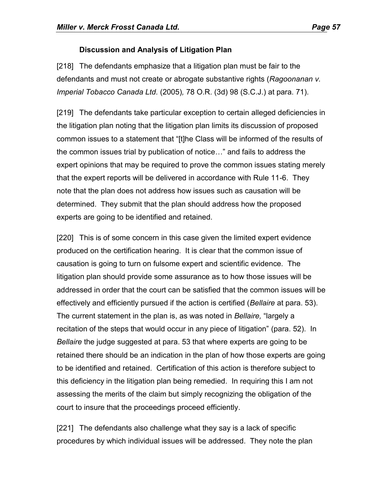# **Discussion and Analysis of Litigation Plan**

[218] The defendants emphasize that a litigation plan must be fair to the defendants and must not create or abrogate substantive rights (*Ragoonanan v. Imperial Tobacco Canada Ltd.* (2005)*,* 78 O.R. (3d) 98 (S.C.J.) at para. 71).

[219] The defendants take particular exception to certain alleged deficiencies in the litigation plan noting that the litigation plan limits its discussion of proposed common issues to a statement that "[t]he Class will be informed of the results of the common issues trial by publication of notice…" and fails to address the expert opinions that may be required to prove the common issues stating merely that the expert reports will be delivered in accordance with Rule 11-6. They note that the plan does not address how issues such as causation will be determined. They submit that the plan should address how the proposed experts are going to be identified and retained.

[220] This is of some concern in this case given the limited expert evidence produced on the certification hearing. It is clear that the common issue of causation is going to turn on fulsome expert and scientific evidence. The litigation plan should provide some assurance as to how those issues will be addressed in order that the court can be satisfied that the common issues will be effectively and efficiently pursued if the action is certified (*Bellaire* at para. 53). The current statement in the plan is, as was noted in *Bellaire,* "largely a recitation of the steps that would occur in any piece of litigation" (para. 52). In *Bellaire* the judge suggested at para. 53 that where experts are going to be retained there should be an indication in the plan of how those experts are going to be identified and retained. Certification of this action is therefore subject to this deficiency in the litigation plan being remedied. In requiring this I am not assessing the merits of the claim but simply recognizing the obligation of the court to insure that the proceedings proceed efficiently.

[221] The defendants also challenge what they say is a lack of specific procedures by which individual issues will be addressed. They note the plan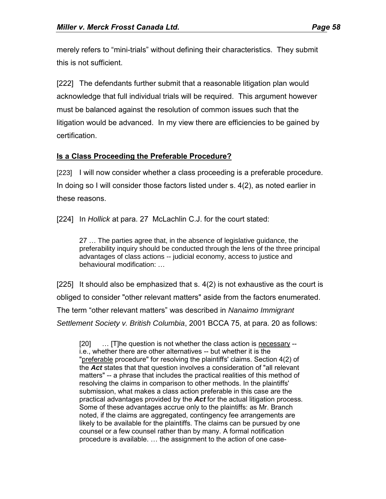merely refers to "mini-trials" without defining their characteristics. They submit this is not sufficient.

[222] The defendants further submit that a reasonable litigation plan would acknowledge that full individual trials will be required. This argument however must be balanced against the resolution of common issues such that the litigation would be advanced. In my view there are efficiencies to be gained by certification.

### **Is a Class Proceeding the Preferable Procedure?**

[223] I will now consider whether a class proceeding is a preferable procedure. In doing so I will consider those factors listed under s. 4(2), as noted earlier in these reasons.

[224] In *Hollick* at para. 27 McLachlin C.J. for the court stated:

27 … The parties agree that, in the absence of legislative guidance, the preferability inquiry should be conducted through the lens of the three principal advantages of class actions -- judicial economy, access to justice and behavioural modification: …

[225] It should also be emphasized that s. 4(2) is not exhaustive as the court is obliged to consider "other relevant matters" aside from the factors enumerated. The term "other relevant matters" was described in *Nanaimo Immigrant Settlement Society v. British Columbia*, 2001 BCCA 75, at para. 20 as follows:

[20] ... [T]he question is not whether the class action is necessary -i.e., whether there are other alternatives -- but whether it is the "preferable procedure" for resolving the plaintiffs' claims. Section 4(2) of the *Act* states that that question involves a consideration of "all relevant matters" -- a phrase that includes the practical realities of this method of resolving the claims in comparison to other methods. In the plaintiffs' submission, what makes a class action preferable in this case are the practical advantages provided by the *Act* for the actual litigation process. Some of these advantages accrue only to the plaintiffs: as Mr. Branch noted, if the claims are aggregated, contingency fee arrangements are likely to be available for the plaintiffs. The claims can be pursued by one counsel or a few counsel rather than by many. A formal notification procedure is available. … the assignment to the action of one case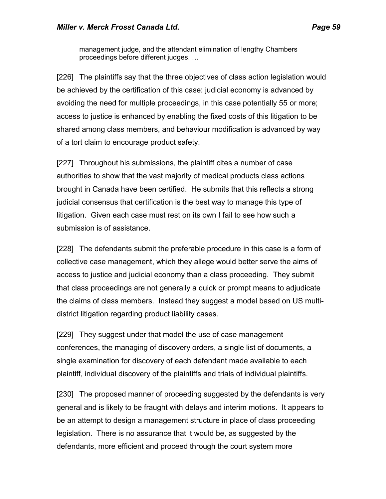management judge, and the attendant elimination of lengthy Chambers proceedings before different judges. …

[226] The plaintiffs say that the three objectives of class action legislation would be achieved by the certification of this case: judicial economy is advanced by avoiding the need for multiple proceedings, in this case potentially 55 or more; access to justice is enhanced by enabling the fixed costs of this litigation to be shared among class members, and behaviour modification is advanced by way of a tort claim to encourage product safety.

[227] Throughout his submissions, the plaintiff cites a number of case authorities to show that the vast majority of medical products class actions brought in Canada have been certified. He submits that this reflects a strong judicial consensus that certification is the best way to manage this type of litigation. Given each case must rest on its own I fail to see how such a submission is of assistance.

[228] The defendants submit the preferable procedure in this case is a form of collective case management, which they allege would better serve the aims of access to justice and judicial economy than a class proceeding. They submit that class proceedings are not generally a quick or prompt means to adjudicate the claims of class members. Instead they suggest a model based on US multidistrict litigation regarding product liability cases.

[229] They suggest under that model the use of case management conferences, the managing of discovery orders, a single list of documents, a single examination for discovery of each defendant made available to each plaintiff, individual discovery of the plaintiffs and trials of individual plaintiffs.

[230] The proposed manner of proceeding suggested by the defendants is very general and is likely to be fraught with delays and interim motions. It appears to be an attempt to design a management structure in place of class proceeding legislation. There is no assurance that it would be, as suggested by the defendants, more efficient and proceed through the court system more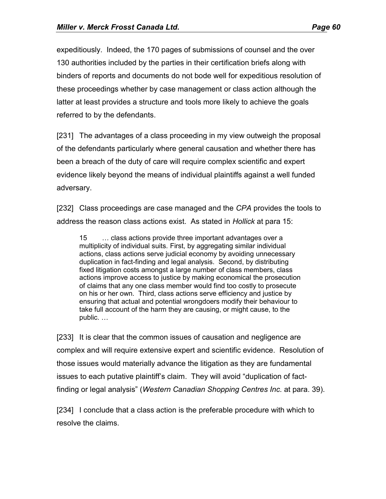expeditiously. Indeed, the 170 pages of submissions of counsel and the over 130 authorities included by the parties in their certification briefs along with binders of reports and documents do not bode well for expeditious resolution of these proceedings whether by case management or class action although the latter at least provides a structure and tools more likely to achieve the goals referred to by the defendants.

[231] The advantages of a class proceeding in my view outweigh the proposal of the defendants particularly where general causation and whether there has been a breach of the duty of care will require complex scientific and expert evidence likely beyond the means of individual plaintiffs against a well funded adversary.

[232] Class proceedings are case managed and the *CPA* provides the tools to address the reason class actions exist. As stated in *Hollick* at para 15:

15 … class actions provide three important advantages over a multiplicity of individual suits. First, by aggregating similar individual actions, class actions serve judicial economy by avoiding unnecessary duplication in fact-finding and legal analysis. Second, by distributing fixed litigation costs amongst a large number of class members, class actions improve access to justice by making economical the prosecution of claims that any one class member would find too costly to prosecute on his or her own. Third, class actions serve efficiency and justice by ensuring that actual and potential wrongdoers modify their behaviour to take full account of the harm they are causing, or might cause, to the public. …

[233] It is clear that the common issues of causation and negligence are complex and will require extensive expert and scientific evidence. Resolution of those issues would materially advance the litigation as they are fundamental issues to each putative plaintiff's claim. They will avoid "duplication of factfinding or legal analysis" (*Western Canadian Shopping Centres Inc.* at para. 39).

[234] I conclude that a class action is the preferable procedure with which to resolve the claims.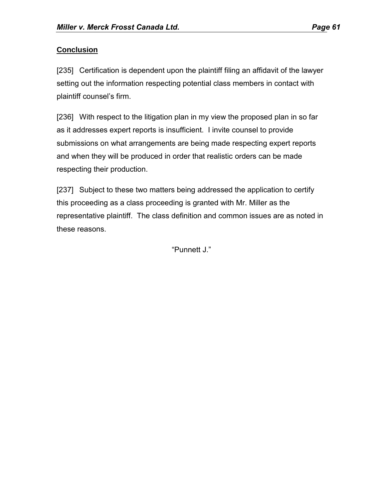## **Conclusion**

[235] Certification is dependent upon the plaintiff filing an affidavit of the lawyer setting out the information respecting potential class members in contact with plaintiff counsel's firm.

[236] With respect to the litigation plan in my view the proposed plan in so far as it addresses expert reports is insufficient. I invite counsel to provide submissions on what arrangements are being made respecting expert reports and when they will be produced in order that realistic orders can be made respecting their production.

[237] Subject to these two matters being addressed the application to certify this proceeding as a class proceeding is granted with Mr. Miller as the representative plaintiff. The class definition and common issues are as noted in these reasons.

"Punnett J."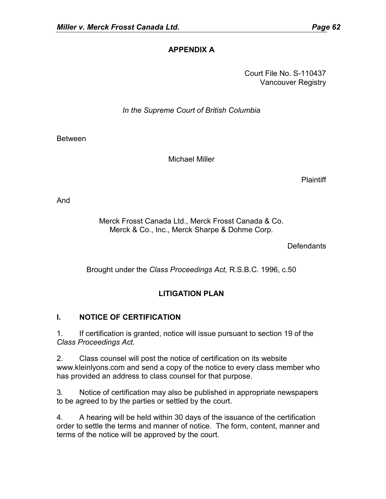# **APPENDIX A**

Court File No. S-110437 Vancouver Registry

*In the Supreme Court of British Columbia*

**Between** 

Michael Miller

**Plaintiff** 

And

Merck Frosst Canada Ltd., Merck Frosst Canada & Co. Merck & Co., Inc., Merck Sharpe & Dohme Corp.

**Defendants** 

Brought under the *Class Proceedings Act,* R.S.B.C. 1996, c.50

# **LITIGATION PLAN**

# **I. NOTICE OF CERTIFICATION**

1. If certification is granted, notice will issue pursuant to section 19 of the *Class Proceedings Act.*

2. Class counsel will post the notice of certification on its website www.kleinlyons.com and send a copy of the notice to every class member who has provided an address to class counsel for that purpose.

3. Notice of certification may also be published in appropriate newspapers to be agreed to by the parties or settled by the court.

4. A hearing will be held within 30 days of the issuance of the certification order to settle the terms and manner of notice. The form, content, manner and terms of the notice will be approved by the court.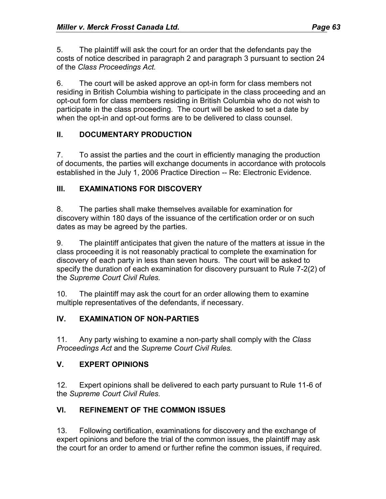5. The plaintiff will ask the court for an order that the defendants pay the costs of notice described in paragraph 2 and paragraph 3 pursuant to section 24 of the *Class Proceedings Act.*

6. The court will be asked approve an opt-in form for class members not residing in British Columbia wishing to participate in the class proceeding and an opt-out form for class members residing in British Columbia who do not wish to participate in the class proceeding. The court will be asked to set a date by when the opt-in and opt-out forms are to be delivered to class counsel.

### **II. DOCUMENTARY PRODUCTION**

7. To assist the parties and the court in efficiently managing the production of documents, the parties will exchange documents in accordance with protocols established in the July 1, 2006 Practice Direction -- Re: Electronic Evidence.

#### **III. EXAMINATIONS FOR DISCOVERY**

8. The parties shall make themselves available for examination for discovery within 180 days of the issuance of the certification order or on such dates as may be agreed by the parties.

9. The plaintiff anticipates that given the nature of the matters at issue in the class proceeding it is not reasonably practical to complete the examination for discovery of each party in less than seven hours. The court will be asked to specify the duration of each examination for discovery pursuant to Rule 7-2(2) of the *Supreme Court Civil Rules.*

10. The plaintiff may ask the court for an order allowing them to examine multiple representatives of the defendants, if necessary.

# **IV. EXAMINATION OF NON-PARTIES**

11. Any party wishing to examine a non-party shall comply with the *Class Proceedings Act* and the *Supreme Court Civil Rules.*

#### **V. EXPERT OPINIONS**

12. Expert opinions shall be delivered to each party pursuant to Rule 11-6 of the *Supreme Court Civil Rules.*

# **VI. REFINEMENT OF THE COMMON ISSUES**

13. Following certification, examinations for discovery and the exchange of expert opinions and before the trial of the common issues, the plaintiff may ask the court for an order to amend or further refine the common issues, if required.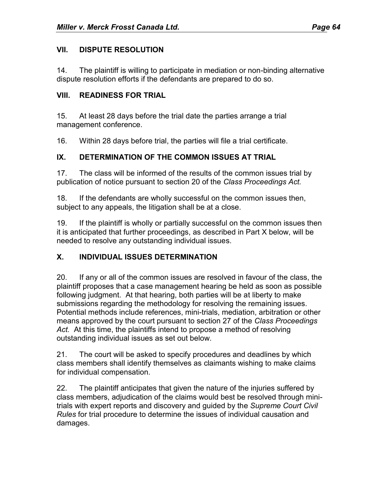#### **VII. DISPUTE RESOLUTION**

14. The plaintiff is willing to participate in mediation or non-binding alternative dispute resolution efforts if the defendants are prepared to do so.

#### **VIII. READINESS FOR TRIAL**

15. At least 28 days before the trial date the parties arrange a trial management conference.

16. Within 28 days before trial, the parties will file a trial certificate.

# **IX. DETERMINATION OF THE COMMON ISSUES AT TRIAL**

17. The class will be informed of the results of the common issues trial by publication of notice pursuant to section 20 of the *Class Proceedings Act.*

18. If the defendants are wholly successful on the common issues then, subject to any appeals, the litigation shall be at a close.

19. If the plaintiff is wholly or partially successful on the common issues then it is anticipated that further proceedings, as described in Part X below, will be needed to resolve any outstanding individual issues.

# **X. INDIVIDUAL ISSUES DETERMINATION**

20. If any or all of the common issues are resolved in favour of the class, the plaintiff proposes that a case management hearing be held as soon as possible following judgment. At that hearing, both parties will be at liberty to make submissions regarding the methodology for resolving the remaining issues. Potential methods include references, mini-trials, mediation, arbitration or other means approved by the court pursuant to section 27 of the *Class Proceedings Act.* At this time, the plaintiffs intend to propose a method of resolving outstanding individual issues as set out below.

21. The court will be asked to specify procedures and deadlines by which class members shall identify themselves as claimants wishing to make claims for individual compensation.

22. The plaintiff anticipates that given the nature of the injuries suffered by class members, adjudication of the claims would best be resolved through minitrials with expert reports and discovery and guided by the *Supreme Court Civil Rules* for trial procedure to determine the issues of individual causation and damages.